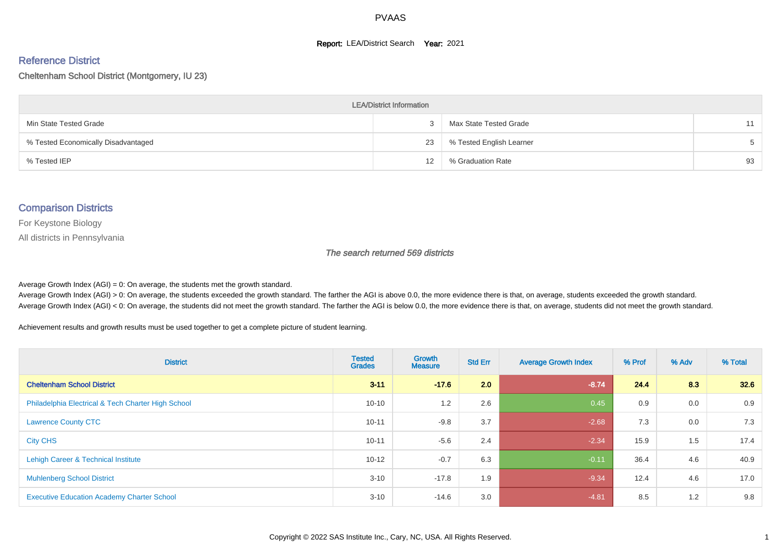#### **Report: LEA/District Search Year: 2021**

#### Reference District

Cheltenham School District (Montgomery, IU 23)

| <b>LEA/District Information</b>     |    |                          |       |  |  |  |  |  |  |
|-------------------------------------|----|--------------------------|-------|--|--|--|--|--|--|
| Min State Tested Grade              |    | Max State Tested Grade   | 11    |  |  |  |  |  |  |
| % Tested Economically Disadvantaged | 23 | % Tested English Learner | $5 -$ |  |  |  |  |  |  |
| % Tested IEP                        | 12 | % Graduation Rate        | 93    |  |  |  |  |  |  |

#### Comparison Districts

For Keystone Biology

All districts in Pennsylvania

The search returned 569 districts

Average Growth Index  $(AGI) = 0$ : On average, the students met the growth standard.

Average Growth Index (AGI) > 0: On average, the students exceeded the growth standard. The farther the AGI is above 0.0, the more evidence there is that, on average, students exceeded the growth standard. Average Growth Index (AGI) < 0: On average, the students did not meet the growth standard. The farther the AGI is below 0.0, the more evidence there is that, on average, students did not meet the growth standard.

Achievement results and growth results must be used together to get a complete picture of student learning.

| <b>District</b>                                    | <b>Tested</b><br><b>Grades</b> | <b>Growth</b><br><b>Measure</b> | <b>Std Err</b> | <b>Average Growth Index</b> | % Prof | % Adv | % Total |
|----------------------------------------------------|--------------------------------|---------------------------------|----------------|-----------------------------|--------|-------|---------|
| <b>Cheltenham School District</b>                  | $3 - 11$                       | $-17.6$                         | 2.0            | $-8.74$                     | 24.4   | 8.3   | 32.6    |
| Philadelphia Electrical & Tech Charter High School | $10 - 10$                      | 1.2                             | 2.6            | 0.45                        | 0.9    | 0.0   | 0.9     |
| <b>Lawrence County CTC</b>                         | $10 - 11$                      | $-9.8$                          | 3.7            | $-2.68$                     | 7.3    | 0.0   | 7.3     |
| <b>City CHS</b>                                    | $10 - 11$                      | $-5.6$                          | 2.4            | $-2.34$                     | 15.9   | 1.5   | 17.4    |
| Lehigh Career & Technical Institute                | $10 - 12$                      | $-0.7$                          | 6.3            | $-0.11$                     | 36.4   | 4.6   | 40.9    |
| <b>Muhlenberg School District</b>                  | $3 - 10$                       | $-17.8$                         | 1.9            | $-9.34$                     | 12.4   | 4.6   | 17.0    |
| <b>Executive Education Academy Charter School</b>  | $3 - 10$                       | $-14.6$                         | 3.0            | $-4.81$                     | 8.5    | 1.2   | 9.8     |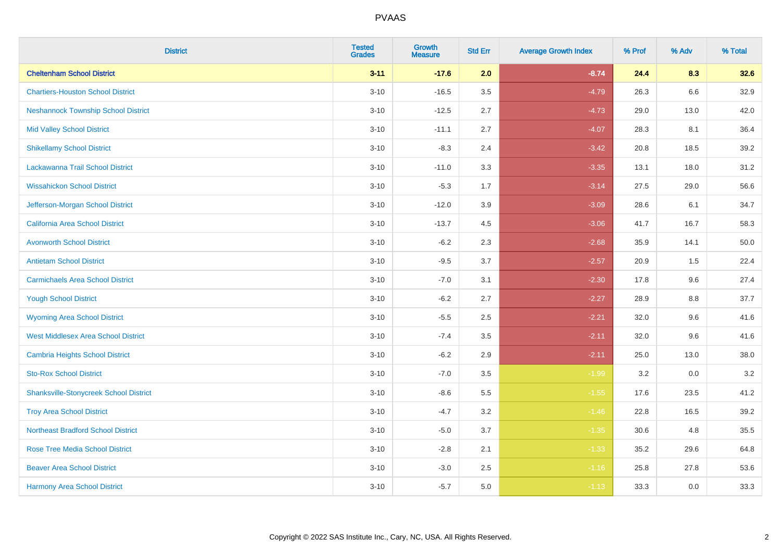| <b>District</b>                               | <b>Tested</b><br><b>Grades</b> | <b>Growth</b><br><b>Measure</b> | <b>Std Err</b> | <b>Average Growth Index</b> | % Prof | % Adv   | % Total  |
|-----------------------------------------------|--------------------------------|---------------------------------|----------------|-----------------------------|--------|---------|----------|
| <b>Cheltenham School District</b>             | $3 - 11$                       | $-17.6$                         | 2.0            | $-8.74$                     | 24.4   | 8.3     | 32.6     |
| <b>Chartiers-Houston School District</b>      | $3 - 10$                       | $-16.5$                         | 3.5            | $-4.79$                     | 26.3   | 6.6     | 32.9     |
| <b>Neshannock Township School District</b>    | $3 - 10$                       | $-12.5$                         | 2.7            | $-4.73$                     | 29.0   | 13.0    | 42.0     |
| <b>Mid Valley School District</b>             | $3 - 10$                       | $-11.1$                         | 2.7            | $-4.07$                     | 28.3   | 8.1     | 36.4     |
| <b>Shikellamy School District</b>             | $3 - 10$                       | $-8.3$                          | 2.4            | $-3.42$                     | 20.8   | 18.5    | 39.2     |
| Lackawanna Trail School District              | $3 - 10$                       | $-11.0$                         | 3.3            | $-3.35$                     | 13.1   | 18.0    | 31.2     |
| <b>Wissahickon School District</b>            | $3 - 10$                       | $-5.3$                          | 1.7            | $-3.14$                     | 27.5   | 29.0    | 56.6     |
| Jefferson-Morgan School District              | $3 - 10$                       | $-12.0$                         | 3.9            | $-3.09$                     | 28.6   | 6.1     | 34.7     |
| California Area School District               | $3 - 10$                       | $-13.7$                         | 4.5            | $-3.06$                     | 41.7   | 16.7    | 58.3     |
| <b>Avonworth School District</b>              | $3 - 10$                       | $-6.2$                          | $2.3\,$        | $-2.68$                     | 35.9   | 14.1    | $50.0\,$ |
| <b>Antietam School District</b>               | $3 - 10$                       | $-9.5$                          | 3.7            | $-2.57$                     | 20.9   | 1.5     | 22.4     |
| <b>Carmichaels Area School District</b>       | $3 - 10$                       | $-7.0$                          | 3.1            | $-2.30$                     | 17.8   | 9.6     | 27.4     |
| <b>Yough School District</b>                  | $3 - 10$                       | $-6.2$                          | 2.7            | $-2.27$                     | 28.9   | $8.8\,$ | 37.7     |
| <b>Wyoming Area School District</b>           | $3 - 10$                       | $-5.5$                          | 2.5            | $-2.21$                     | 32.0   | 9.6     | 41.6     |
| <b>West Middlesex Area School District</b>    | $3 - 10$                       | $-7.4$                          | 3.5            | $-2.11$                     | 32.0   | 9.6     | 41.6     |
| <b>Cambria Heights School District</b>        | $3 - 10$                       | $-6.2$                          | 2.9            | $-2.11$                     | 25.0   | 13.0    | 38.0     |
| <b>Sto-Rox School District</b>                | $3 - 10$                       | $-7.0$                          | 3.5            | $-1.99$                     | 3.2    | 0.0     | 3.2      |
| <b>Shanksville-Stonycreek School District</b> | $3 - 10$                       | $-8.6$                          | 5.5            | $-1.55$                     | 17.6   | 23.5    | 41.2     |
| <b>Troy Area School District</b>              | $3 - 10$                       | $-4.7$                          | 3.2            | $-1.46$                     | 22.8   | 16.5    | 39.2     |
| <b>Northeast Bradford School District</b>     | $3 - 10$                       | $-5.0$                          | 3.7            | $-1.35$                     | 30.6   | 4.8     | 35.5     |
| <b>Rose Tree Media School District</b>        | $3 - 10$                       | $-2.8$                          | 2.1            | $-1.33$                     | 35.2   | 29.6    | 64.8     |
| <b>Beaver Area School District</b>            | $3 - 10$                       | $-3.0$                          | 2.5            | $-1.16$                     | 25.8   | 27.8    | 53.6     |
| <b>Harmony Area School District</b>           | $3 - 10$                       | $-5.7$                          | 5.0            | $-1.13$                     | 33.3   | 0.0     | 33.3     |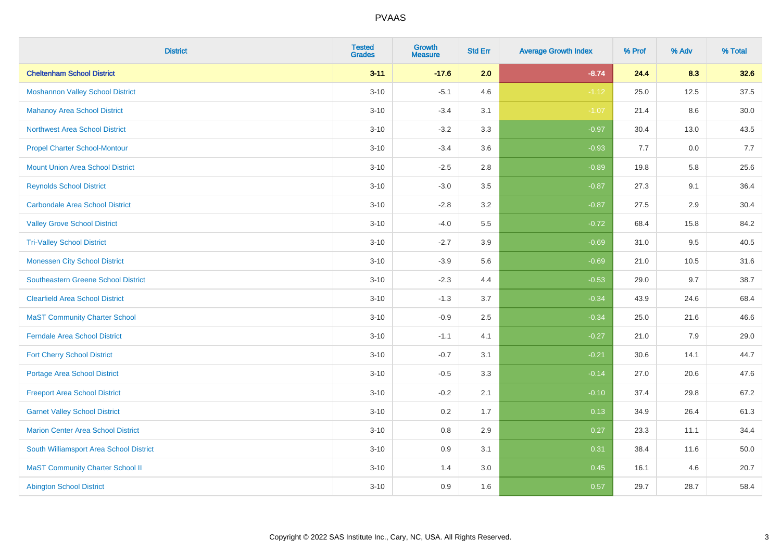| <b>District</b>                            | <b>Tested</b><br><b>Grades</b> | <b>Growth</b><br><b>Measure</b> | <b>Std Err</b> | <b>Average Growth Index</b> | % Prof | % Adv | % Total |
|--------------------------------------------|--------------------------------|---------------------------------|----------------|-----------------------------|--------|-------|---------|
| <b>Cheltenham School District</b>          | $3 - 11$                       | $-17.6$                         | 2.0            | $-8.74$                     | 24.4   | 8.3   | 32.6    |
| <b>Moshannon Valley School District</b>    | $3 - 10$                       | $-5.1$                          | 4.6            | $-1.12$                     | 25.0   | 12.5  | 37.5    |
| <b>Mahanoy Area School District</b>        | $3 - 10$                       | $-3.4$                          | 3.1            | $-1.07$                     | 21.4   | 8.6   | 30.0    |
| <b>Northwest Area School District</b>      | $3 - 10$                       | $-3.2$                          | 3.3            | $-0.97$                     | 30.4   | 13.0  | 43.5    |
| <b>Propel Charter School-Montour</b>       | $3 - 10$                       | $-3.4$                          | 3.6            | $-0.93$                     | 7.7    | 0.0   | 7.7     |
| <b>Mount Union Area School District</b>    | $3 - 10$                       | $-2.5$                          | 2.8            | $-0.89$                     | 19.8   | 5.8   | 25.6    |
| <b>Reynolds School District</b>            | $3 - 10$                       | $-3.0$                          | 3.5            | $-0.87$                     | 27.3   | 9.1   | 36.4    |
| <b>Carbondale Area School District</b>     | $3 - 10$                       | $-2.8$                          | 3.2            | $-0.87$                     | 27.5   | 2.9   | 30.4    |
| <b>Valley Grove School District</b>        | $3 - 10$                       | $-4.0$                          | 5.5            | $-0.72$                     | 68.4   | 15.8  | 84.2    |
| <b>Tri-Valley School District</b>          | $3 - 10$                       | $-2.7$                          | 3.9            | $-0.69$                     | 31.0   | 9.5   | 40.5    |
| <b>Monessen City School District</b>       | $3 - 10$                       | $-3.9$                          | 5.6            | $-0.69$                     | 21.0   | 10.5  | 31.6    |
| <b>Southeastern Greene School District</b> | $3 - 10$                       | $-2.3$                          | 4.4            | $-0.53$                     | 29.0   | 9.7   | 38.7    |
| <b>Clearfield Area School District</b>     | $3 - 10$                       | $-1.3$                          | 3.7            | $-0.34$                     | 43.9   | 24.6  | 68.4    |
| <b>MaST Community Charter School</b>       | $3 - 10$                       | $-0.9$                          | 2.5            | $-0.34$                     | 25.0   | 21.6  | 46.6    |
| <b>Ferndale Area School District</b>       | $3 - 10$                       | $-1.1$                          | 4.1            | $-0.27$                     | 21.0   | 7.9   | 29.0    |
| <b>Fort Cherry School District</b>         | $3 - 10$                       | $-0.7$                          | 3.1            | $-0.21$                     | 30.6   | 14.1  | 44.7    |
| <b>Portage Area School District</b>        | $3 - 10$                       | $-0.5$                          | 3.3            | $-0.14$                     | 27.0   | 20.6  | 47.6    |
| <b>Freeport Area School District</b>       | $3 - 10$                       | $-0.2$                          | 2.1            | $-0.10$                     | 37.4   | 29.8  | 67.2    |
| <b>Garnet Valley School District</b>       | $3 - 10$                       | 0.2                             | 1.7            | 0.13                        | 34.9   | 26.4  | 61.3    |
| <b>Marion Center Area School District</b>  | $3 - 10$                       | 0.8                             | 2.9            | 0.27                        | 23.3   | 11.1  | 34.4    |
| South Williamsport Area School District    | $3 - 10$                       | 0.9                             | 3.1            | 0.31                        | 38.4   | 11.6  | 50.0    |
| <b>MaST Community Charter School II</b>    | $3 - 10$                       | 1.4                             | 3.0            | 0.45                        | 16.1   | 4.6   | 20.7    |
| <b>Abington School District</b>            | $3 - 10$                       | 0.9                             | 1.6            | 0.57                        | 29.7   | 28.7  | 58.4    |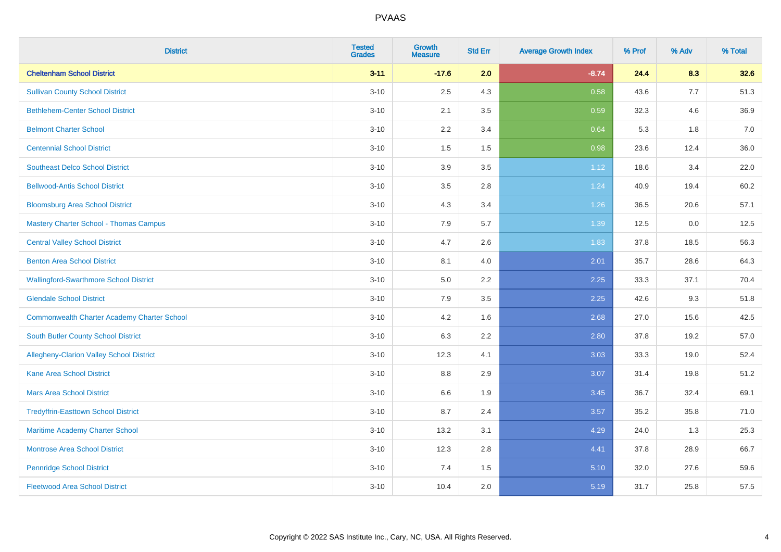| <b>District</b>                                    | <b>Tested</b><br><b>Grades</b> | <b>Growth</b><br><b>Measure</b> | <b>Std Err</b> | <b>Average Growth Index</b> | % Prof | % Adv | % Total |
|----------------------------------------------------|--------------------------------|---------------------------------|----------------|-----------------------------|--------|-------|---------|
| <b>Cheltenham School District</b>                  | $3 - 11$                       | $-17.6$                         | 2.0            | $-8.74$                     | 24.4   | 8.3   | 32.6    |
| <b>Sullivan County School District</b>             | $3 - 10$                       | 2.5                             | 4.3            | 0.58                        | 43.6   | 7.7   | 51.3    |
| <b>Bethlehem-Center School District</b>            | $3 - 10$                       | 2.1                             | 3.5            | 0.59                        | 32.3   | 4.6   | 36.9    |
| <b>Belmont Charter School</b>                      | $3 - 10$                       | 2.2                             | 3.4            | 0.64                        | 5.3    | 1.8   | 7.0     |
| <b>Centennial School District</b>                  | $3 - 10$                       | 1.5                             | 1.5            | 0.98                        | 23.6   | 12.4  | 36.0    |
| <b>Southeast Delco School District</b>             | $3 - 10$                       | 3.9                             | 3.5            | 1.12                        | 18.6   | 3.4   | 22.0    |
| <b>Bellwood-Antis School District</b>              | $3 - 10$                       | $3.5\,$                         | 2.8            | 1.24                        | 40.9   | 19.4  | 60.2    |
| <b>Bloomsburg Area School District</b>             | $3 - 10$                       | 4.3                             | 3.4            | 1.26                        | 36.5   | 20.6  | 57.1    |
| <b>Mastery Charter School - Thomas Campus</b>      | $3 - 10$                       | 7.9                             | 5.7            | 1.39                        | 12.5   | 0.0   | 12.5    |
| <b>Central Valley School District</b>              | $3 - 10$                       | 4.7                             | 2.6            | 1.83                        | 37.8   | 18.5  | 56.3    |
| <b>Benton Area School District</b>                 | $3 - 10$                       | 8.1                             | 4.0            | 2.01                        | 35.7   | 28.6  | 64.3    |
| <b>Wallingford-Swarthmore School District</b>      | $3 - 10$                       | $5.0\,$                         | 2.2            | 2.25                        | 33.3   | 37.1  | 70.4    |
| <b>Glendale School District</b>                    | $3 - 10$                       | 7.9                             | 3.5            | 2.25                        | 42.6   | 9.3   | 51.8    |
| <b>Commonwealth Charter Academy Charter School</b> | $3 - 10$                       | 4.2                             | 1.6            | 2.68                        | 27.0   | 15.6  | 42.5    |
| <b>South Butler County School District</b>         | $3 - 10$                       | 6.3                             | 2.2            | 2.80                        | 37.8   | 19.2  | 57.0    |
| <b>Allegheny-Clarion Valley School District</b>    | $3 - 10$                       | 12.3                            | 4.1            | 3.03                        | 33.3   | 19.0  | 52.4    |
| <b>Kane Area School District</b>                   | $3 - 10$                       | 8.8                             | 2.9            | 3.07                        | 31.4   | 19.8  | 51.2    |
| <b>Mars Area School District</b>                   | $3 - 10$                       | 6.6                             | 1.9            | 3.45                        | 36.7   | 32.4  | 69.1    |
| <b>Tredyffrin-Easttown School District</b>         | $3 - 10$                       | 8.7                             | 2.4            | 3.57                        | 35.2   | 35.8  | 71.0    |
| Maritime Academy Charter School                    | $3 - 10$                       | 13.2                            | 3.1            | 4.29                        | 24.0   | 1.3   | 25.3    |
| <b>Montrose Area School District</b>               | $3 - 10$                       | 12.3                            | 2.8            | 4.41                        | 37.8   | 28.9  | 66.7    |
| <b>Pennridge School District</b>                   | $3 - 10$                       | 7.4                             | 1.5            | 5.10                        | 32.0   | 27.6  | 59.6    |
| <b>Fleetwood Area School District</b>              | $3 - 10$                       | 10.4                            | 2.0            | 5.19                        | 31.7   | 25.8  | 57.5    |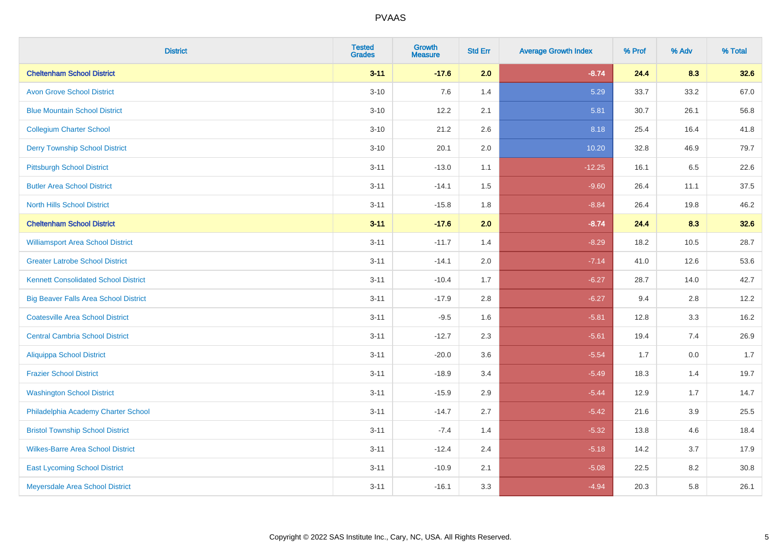| <b>District</b>                              | <b>Tested</b><br><b>Grades</b> | Growth<br><b>Measure</b> | <b>Std Err</b> | <b>Average Growth Index</b> | % Prof | % Adv | % Total |
|----------------------------------------------|--------------------------------|--------------------------|----------------|-----------------------------|--------|-------|---------|
| <b>Cheltenham School District</b>            | $3 - 11$                       | $-17.6$                  | 2.0            | $-8.74$                     | 24.4   | 8.3   | 32.6    |
| <b>Avon Grove School District</b>            | $3 - 10$                       | 7.6                      | 1.4            | 5.29                        | 33.7   | 33.2  | 67.0    |
| <b>Blue Mountain School District</b>         | $3 - 10$                       | 12.2                     | 2.1            | 5.81                        | 30.7   | 26.1  | 56.8    |
| <b>Collegium Charter School</b>              | $3 - 10$                       | 21.2                     | 2.6            | 8.18                        | 25.4   | 16.4  | 41.8    |
| <b>Derry Township School District</b>        | $3 - 10$                       | 20.1                     | 2.0            | 10.20                       | 32.8   | 46.9  | 79.7    |
| <b>Pittsburgh School District</b>            | $3 - 11$                       | $-13.0$                  | 1.1            | $-12.25$                    | 16.1   | 6.5   | 22.6    |
| <b>Butler Area School District</b>           | $3 - 11$                       | $-14.1$                  | 1.5            | $-9.60$                     | 26.4   | 11.1  | 37.5    |
| <b>North Hills School District</b>           | $3 - 11$                       | $-15.8$                  | 1.8            | $-8.84$                     | 26.4   | 19.8  | 46.2    |
| <b>Cheltenham School District</b>            | $3 - 11$                       | $-17.6$                  | 2.0            | $-8.74$                     | 24.4   | 8.3   | 32.6    |
| <b>Williamsport Area School District</b>     | $3 - 11$                       | $-11.7$                  | 1.4            | $-8.29$                     | 18.2   | 10.5  | 28.7    |
| <b>Greater Latrobe School District</b>       | $3 - 11$                       | $-14.1$                  | 2.0            | $-7.14$                     | 41.0   | 12.6  | 53.6    |
| <b>Kennett Consolidated School District</b>  | $3 - 11$                       | $-10.4$                  | 1.7            | $-6.27$                     | 28.7   | 14.0  | 42.7    |
| <b>Big Beaver Falls Area School District</b> | $3 - 11$                       | $-17.9$                  | 2.8            | $-6.27$                     | 9.4    | 2.8   | 12.2    |
| <b>Coatesville Area School District</b>      | $3 - 11$                       | $-9.5$                   | 1.6            | $-5.81$                     | 12.8   | 3.3   | 16.2    |
| <b>Central Cambria School District</b>       | $3 - 11$                       | $-12.7$                  | 2.3            | $-5.61$                     | 19.4   | 7.4   | 26.9    |
| <b>Aliquippa School District</b>             | $3 - 11$                       | $-20.0$                  | 3.6            | $-5.54$                     | 1.7    | 0.0   | 1.7     |
| <b>Frazier School District</b>               | $3 - 11$                       | $-18.9$                  | 3.4            | $-5.49$                     | 18.3   | 1.4   | 19.7    |
| <b>Washington School District</b>            | $3 - 11$                       | $-15.9$                  | 2.9            | $-5.44$                     | 12.9   | 1.7   | 14.7    |
| Philadelphia Academy Charter School          | $3 - 11$                       | $-14.7$                  | 2.7            | $-5.42$                     | 21.6   | 3.9   | 25.5    |
| <b>Bristol Township School District</b>      | $3 - 11$                       | $-7.4$                   | 1.4            | $-5.32$                     | 13.8   | 4.6   | 18.4    |
| <b>Wilkes-Barre Area School District</b>     | $3 - 11$                       | $-12.4$                  | 2.4            | $-5.18$                     | 14.2   | 3.7   | 17.9    |
| <b>East Lycoming School District</b>         | $3 - 11$                       | $-10.9$                  | 2.1            | $-5.08$                     | 22.5   | 8.2   | 30.8    |
| Meyersdale Area School District              | $3 - 11$                       | $-16.1$                  | 3.3            | $-4.94$                     | 20.3   | 5.8   | 26.1    |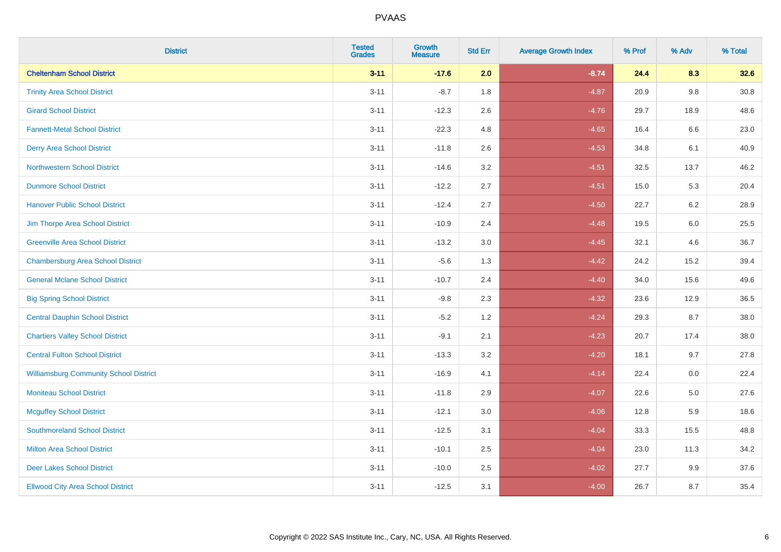| <b>District</b>                               | <b>Tested</b><br><b>Grades</b> | <b>Growth</b><br><b>Measure</b> | <b>Std Err</b> | <b>Average Growth Index</b> | % Prof | % Adv   | % Total |
|-----------------------------------------------|--------------------------------|---------------------------------|----------------|-----------------------------|--------|---------|---------|
| <b>Cheltenham School District</b>             | $3 - 11$                       | $-17.6$                         | 2.0            | $-8.74$                     | 24.4   | 8.3     | 32.6    |
| <b>Trinity Area School District</b>           | $3 - 11$                       | $-8.7$                          | 1.8            | $-4.87$                     | 20.9   | 9.8     | 30.8    |
| <b>Girard School District</b>                 | $3 - 11$                       | $-12.3$                         | 2.6            | $-4.76$                     | 29.7   | 18.9    | 48.6    |
| <b>Fannett-Metal School District</b>          | $3 - 11$                       | $-22.3$                         | 4.8            | $-4.65$                     | 16.4   | 6.6     | 23.0    |
| <b>Derry Area School District</b>             | $3 - 11$                       | $-11.8$                         | 2.6            | $-4.53$                     | 34.8   | 6.1     | 40.9    |
| <b>Northwestern School District</b>           | $3 - 11$                       | $-14.6$                         | 3.2            | $-4.51$                     | 32.5   | 13.7    | 46.2    |
| <b>Dunmore School District</b>                | $3 - 11$                       | $-12.2$                         | 2.7            | $-4.51$                     | 15.0   | 5.3     | 20.4    |
| <b>Hanover Public School District</b>         | $3 - 11$                       | $-12.4$                         | 2.7            | $-4.50$                     | 22.7   | 6.2     | 28.9    |
| Jim Thorpe Area School District               | $3 - 11$                       | $-10.9$                         | 2.4            | $-4.48$                     | 19.5   | $6.0\,$ | 25.5    |
| <b>Greenville Area School District</b>        | $3 - 11$                       | $-13.2$                         | 3.0            | $-4.45$                     | 32.1   | 4.6     | 36.7    |
| <b>Chambersburg Area School District</b>      | $3 - 11$                       | $-5.6$                          | 1.3            | $-4.42$                     | 24.2   | 15.2    | 39.4    |
| <b>General Mclane School District</b>         | $3 - 11$                       | $-10.7$                         | 2.4            | $-4.40$                     | 34.0   | 15.6    | 49.6    |
| <b>Big Spring School District</b>             | $3 - 11$                       | $-9.8$                          | 2.3            | $-4.32$                     | 23.6   | 12.9    | 36.5    |
| <b>Central Dauphin School District</b>        | $3 - 11$                       | $-5.2$                          | 1.2            | $-4.24$                     | 29.3   | 8.7     | 38.0    |
| <b>Chartiers Valley School District</b>       | $3 - 11$                       | $-9.1$                          | 2.1            | $-4.23$                     | 20.7   | 17.4    | 38.0    |
| <b>Central Fulton School District</b>         | $3 - 11$                       | $-13.3$                         | 3.2            | $-4.20$                     | 18.1   | 9.7     | 27.8    |
| <b>Williamsburg Community School District</b> | $3 - 11$                       | $-16.9$                         | 4.1            | $-4.14$                     | 22.4   | $0.0\,$ | 22.4    |
| <b>Moniteau School District</b>               | $3 - 11$                       | $-11.8$                         | 2.9            | $-4.07$                     | 22.6   | 5.0     | 27.6    |
| <b>Mcguffey School District</b>               | $3 - 11$                       | $-12.1$                         | 3.0            | $-4.06$                     | 12.8   | 5.9     | 18.6    |
| <b>Southmoreland School District</b>          | $3 - 11$                       | $-12.5$                         | 3.1            | $-4.04$                     | 33.3   | 15.5    | 48.8    |
| <b>Milton Area School District</b>            | $3 - 11$                       | $-10.1$                         | 2.5            | $-4.04$                     | 23.0   | 11.3    | 34.2    |
| <b>Deer Lakes School District</b>             | $3 - 11$                       | $-10.0$                         | 2.5            | $-4.02$                     | 27.7   | 9.9     | 37.6    |
| <b>Ellwood City Area School District</b>      | $3 - 11$                       | $-12.5$                         | 3.1            | $-4.00$                     | 26.7   | 8.7     | 35.4    |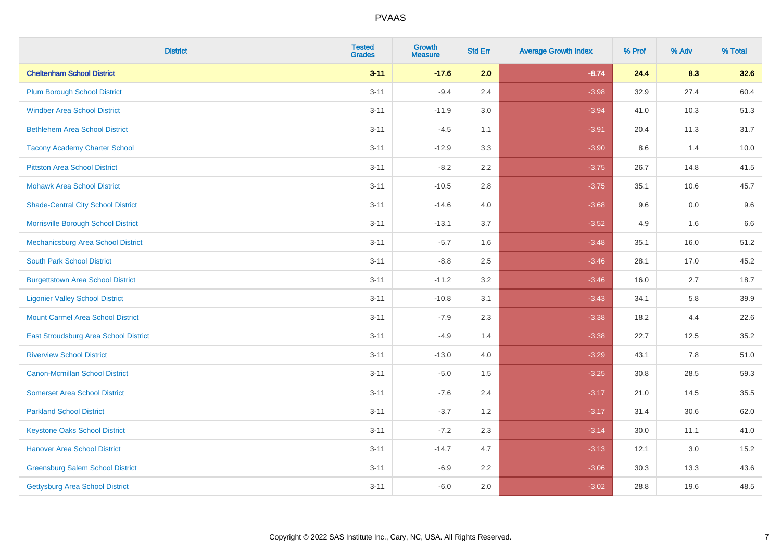| <b>District</b>                           | <b>Tested</b><br><b>Grades</b> | Growth<br><b>Measure</b> | <b>Std Err</b> | <b>Average Growth Index</b> | % Prof | % Adv | % Total |
|-------------------------------------------|--------------------------------|--------------------------|----------------|-----------------------------|--------|-------|---------|
| <b>Cheltenham School District</b>         | $3 - 11$                       | $-17.6$                  | 2.0            | $-8.74$                     | 24.4   | 8.3   | 32.6    |
| <b>Plum Borough School District</b>       | $3 - 11$                       | $-9.4$                   | 2.4            | $-3.98$                     | 32.9   | 27.4  | 60.4    |
| <b>Windber Area School District</b>       | $3 - 11$                       | $-11.9$                  | 3.0            | $-3.94$                     | 41.0   | 10.3  | 51.3    |
| <b>Bethlehem Area School District</b>     | $3 - 11$                       | $-4.5$                   | 1.1            | $-3.91$                     | 20.4   | 11.3  | 31.7    |
| <b>Tacony Academy Charter School</b>      | $3 - 11$                       | $-12.9$                  | 3.3            | $-3.90$                     | 8.6    | 1.4   | 10.0    |
| <b>Pittston Area School District</b>      | $3 - 11$                       | $-8.2$                   | 2.2            | $-3.75$                     | 26.7   | 14.8  | 41.5    |
| <b>Mohawk Area School District</b>        | $3 - 11$                       | $-10.5$                  | 2.8            | $-3.75$                     | 35.1   | 10.6  | 45.7    |
| <b>Shade-Central City School District</b> | $3 - 11$                       | $-14.6$                  | 4.0            | $-3.68$                     | 9.6    | 0.0   | 9.6     |
| Morrisville Borough School District       | $3 - 11$                       | $-13.1$                  | 3.7            | $-3.52$                     | 4.9    | 1.6   | 6.6     |
| Mechanicsburg Area School District        | $3 - 11$                       | $-5.7$                   | 1.6            | $-3.48$                     | 35.1   | 16.0  | 51.2    |
| <b>South Park School District</b>         | $3 - 11$                       | $-8.8$                   | 2.5            | $-3.46$                     | 28.1   | 17.0  | 45.2    |
| <b>Burgettstown Area School District</b>  | $3 - 11$                       | $-11.2$                  | 3.2            | $-3.46$                     | 16.0   | 2.7   | 18.7    |
| <b>Ligonier Valley School District</b>    | $3 - 11$                       | $-10.8$                  | 3.1            | $-3.43$                     | 34.1   | 5.8   | 39.9    |
| <b>Mount Carmel Area School District</b>  | $3 - 11$                       | $-7.9$                   | 2.3            | $-3.38$                     | 18.2   | 4.4   | 22.6    |
| East Stroudsburg Area School District     | $3 - 11$                       | $-4.9$                   | 1.4            | $-3.38$                     | 22.7   | 12.5  | 35.2    |
| <b>Riverview School District</b>          | $3 - 11$                       | $-13.0$                  | 4.0            | $-3.29$                     | 43.1   | 7.8   | 51.0    |
| <b>Canon-Mcmillan School District</b>     | $3 - 11$                       | $-5.0$                   | 1.5            | $-3.25$                     | 30.8   | 28.5  | 59.3    |
| <b>Somerset Area School District</b>      | $3 - 11$                       | $-7.6$                   | 2.4            | $-3.17$                     | 21.0   | 14.5  | 35.5    |
| <b>Parkland School District</b>           | $3 - 11$                       | $-3.7$                   | 1.2            | $-3.17$                     | 31.4   | 30.6  | 62.0    |
| <b>Keystone Oaks School District</b>      | $3 - 11$                       | $-7.2$                   | 2.3            | $-3.14$                     | 30.0   | 11.1  | 41.0    |
| <b>Hanover Area School District</b>       | $3 - 11$                       | $-14.7$                  | 4.7            | $-3.13$                     | 12.1   | 3.0   | 15.2    |
| <b>Greensburg Salem School District</b>   | $3 - 11$                       | $-6.9$                   | 2.2            | $-3.06$                     | 30.3   | 13.3  | 43.6    |
| Gettysburg Area School District           | $3 - 11$                       | $-6.0$                   | 2.0            | $-3.02$                     | 28.8   | 19.6  | 48.5    |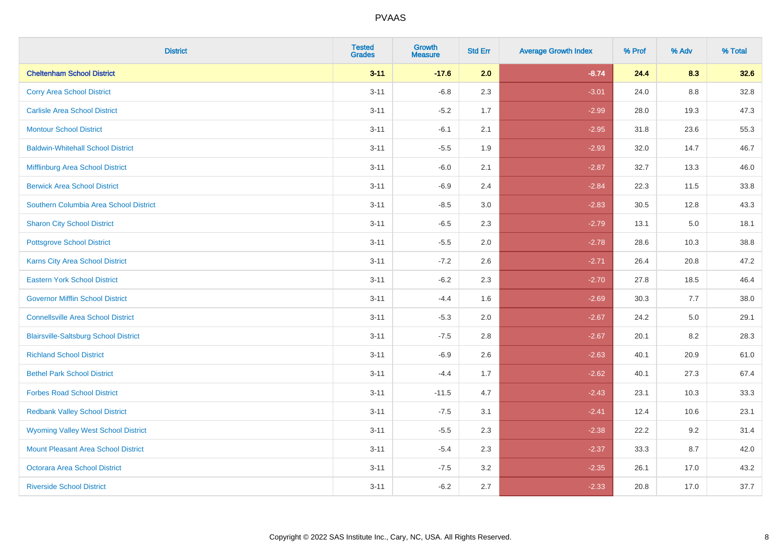| <b>District</b>                              | <b>Tested</b><br><b>Grades</b> | Growth<br><b>Measure</b> | <b>Std Err</b> | <b>Average Growth Index</b> | % Prof | % Adv   | % Total |
|----------------------------------------------|--------------------------------|--------------------------|----------------|-----------------------------|--------|---------|---------|
| <b>Cheltenham School District</b>            | $3 - 11$                       | $-17.6$                  | 2.0            | $-8.74$                     | 24.4   | 8.3     | 32.6    |
| <b>Corry Area School District</b>            | $3 - 11$                       | $-6.8$                   | 2.3            | $-3.01$                     | 24.0   | 8.8     | 32.8    |
| <b>Carlisle Area School District</b>         | $3 - 11$                       | $-5.2$                   | 1.7            | $-2.99$                     | 28.0   | 19.3    | 47.3    |
| <b>Montour School District</b>               | $3 - 11$                       | $-6.1$                   | 2.1            | $-2.95$                     | 31.8   | 23.6    | 55.3    |
| <b>Baldwin-Whitehall School District</b>     | $3 - 11$                       | $-5.5$                   | 1.9            | $-2.93$                     | 32.0   | 14.7    | 46.7    |
| Mifflinburg Area School District             | $3 - 11$                       | $-6.0$                   | 2.1            | $-2.87$                     | 32.7   | 13.3    | 46.0    |
| <b>Berwick Area School District</b>          | $3 - 11$                       | $-6.9$                   | 2.4            | $-2.84$                     | 22.3   | 11.5    | 33.8    |
| Southern Columbia Area School District       | $3 - 11$                       | $-8.5$                   | 3.0            | $-2.83$                     | 30.5   | 12.8    | 43.3    |
| <b>Sharon City School District</b>           | $3 - 11$                       | $-6.5$                   | 2.3            | $-2.79$                     | 13.1   | 5.0     | 18.1    |
| <b>Pottsgrove School District</b>            | $3 - 11$                       | $-5.5$                   | 2.0            | $-2.78$                     | 28.6   | 10.3    | 38.8    |
| <b>Karns City Area School District</b>       | $3 - 11$                       | $-7.2$                   | 2.6            | $-2.71$                     | 26.4   | 20.8    | 47.2    |
| <b>Eastern York School District</b>          | $3 - 11$                       | $-6.2$                   | 2.3            | $-2.70$                     | 27.8   | 18.5    | 46.4    |
| <b>Governor Mifflin School District</b>      | $3 - 11$                       | $-4.4$                   | 1.6            | $-2.69$                     | 30.3   | 7.7     | 38.0    |
| <b>Connellsville Area School District</b>    | $3 - 11$                       | $-5.3$                   | 2.0            | $-2.67$                     | 24.2   | $5.0\,$ | 29.1    |
| <b>Blairsville-Saltsburg School District</b> | $3 - 11$                       | $-7.5$                   | 2.8            | $-2.67$                     | 20.1   | 8.2     | 28.3    |
| <b>Richland School District</b>              | $3 - 11$                       | $-6.9$                   | 2.6            | $-2.63$                     | 40.1   | 20.9    | 61.0    |
| <b>Bethel Park School District</b>           | $3 - 11$                       | $-4.4$                   | 1.7            | $-2.62$                     | 40.1   | 27.3    | 67.4    |
| <b>Forbes Road School District</b>           | $3 - 11$                       | $-11.5$                  | 4.7            | $-2.43$                     | 23.1   | 10.3    | 33.3    |
| <b>Redbank Valley School District</b>        | $3 - 11$                       | $-7.5$                   | 3.1            | $-2.41$                     | 12.4   | 10.6    | 23.1    |
| <b>Wyoming Valley West School District</b>   | $3 - 11$                       | $-5.5$                   | 2.3            | $-2.38$                     | 22.2   | 9.2     | 31.4    |
| Mount Pleasant Area School District          | $3 - 11$                       | $-5.4$                   | 2.3            | $-2.37$                     | 33.3   | 8.7     | 42.0    |
| <b>Octorara Area School District</b>         | $3 - 11$                       | $-7.5$                   | 3.2            | $-2.35$                     | 26.1   | 17.0    | 43.2    |
| <b>Riverside School District</b>             | $3 - 11$                       | $-6.2$                   | 2.7            | $-2.33$                     | 20.8   | 17.0    | 37.7    |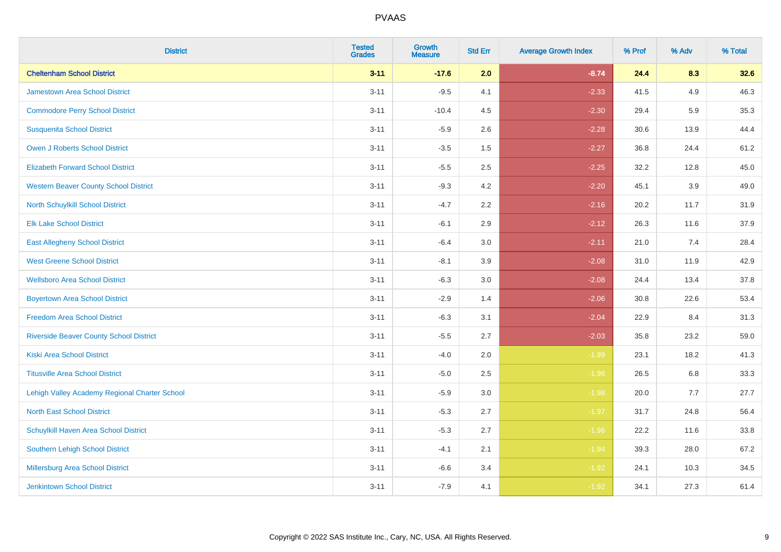| <b>District</b>                                | <b>Tested</b><br><b>Grades</b> | Growth<br><b>Measure</b> | <b>Std Err</b> | <b>Average Growth Index</b> | % Prof | % Adv | % Total |
|------------------------------------------------|--------------------------------|--------------------------|----------------|-----------------------------|--------|-------|---------|
| <b>Cheltenham School District</b>              | $3 - 11$                       | $-17.6$                  | 2.0            | $-8.74$                     | 24.4   | 8.3   | 32.6    |
| Jamestown Area School District                 | $3 - 11$                       | $-9.5$                   | 4.1            | $-2.33$                     | 41.5   | 4.9   | 46.3    |
| <b>Commodore Perry School District</b>         | $3 - 11$                       | $-10.4$                  | 4.5            | $-2.30$                     | 29.4   | 5.9   | 35.3    |
| <b>Susquenita School District</b>              | $3 - 11$                       | $-5.9$                   | 2.6            | $-2.28$                     | 30.6   | 13.9  | 44.4    |
| <b>Owen J Roberts School District</b>          | $3 - 11$                       | $-3.5$                   | 1.5            | $-2.27$                     | 36.8   | 24.4  | 61.2    |
| <b>Elizabeth Forward School District</b>       | $3 - 11$                       | $-5.5$                   | 2.5            | $-2.25$                     | 32.2   | 12.8  | 45.0    |
| <b>Western Beaver County School District</b>   | $3 - 11$                       | $-9.3$                   | 4.2            | $-2.20$                     | 45.1   | 3.9   | 49.0    |
| North Schuylkill School District               | $3 - 11$                       | $-4.7$                   | 2.2            | $-2.16$                     | 20.2   | 11.7  | 31.9    |
| <b>Elk Lake School District</b>                | $3 - 11$                       | $-6.1$                   | 2.9            | $-2.12$                     | 26.3   | 11.6  | 37.9    |
| <b>East Allegheny School District</b>          | $3 - 11$                       | $-6.4$                   | 3.0            | $-2.11$                     | 21.0   | 7.4   | 28.4    |
| <b>West Greene School District</b>             | $3 - 11$                       | $-8.1$                   | 3.9            | $-2.08$                     | 31.0   | 11.9  | 42.9    |
| <b>Wellsboro Area School District</b>          | $3 - 11$                       | $-6.3$                   | 3.0            | $-2.08$                     | 24.4   | 13.4  | 37.8    |
| <b>Boyertown Area School District</b>          | $3 - 11$                       | $-2.9$                   | 1.4            | $-2.06$                     | 30.8   | 22.6  | 53.4    |
| <b>Freedom Area School District</b>            | $3 - 11$                       | $-6.3$                   | 3.1            | $-2.04$                     | 22.9   | 8.4   | 31.3    |
| <b>Riverside Beaver County School District</b> | $3 - 11$                       | $-5.5$                   | 2.7            | $-2.03$                     | 35.8   | 23.2  | 59.0    |
| <b>Kiski Area School District</b>              | $3 - 11$                       | $-4.0$                   | 2.0            | $-1.99$                     | 23.1   | 18.2  | 41.3    |
| <b>Titusville Area School District</b>         | $3 - 11$                       | $-5.0$                   | 2.5            | $-1.98$                     | 26.5   | 6.8   | 33.3    |
| Lehigh Valley Academy Regional Charter School  | $3 - 11$                       | $-5.9$                   | 3.0            | $-1.98$                     | 20.0   | 7.7   | 27.7    |
| <b>North East School District</b>              | $3 - 11$                       | $-5.3$                   | 2.7            | $-1.97$                     | 31.7   | 24.8  | 56.4    |
| Schuylkill Haven Area School District          | $3 - 11$                       | $-5.3$                   | 2.7            | $-1.96$                     | 22.2   | 11.6  | 33.8    |
| <b>Southern Lehigh School District</b>         | $3 - 11$                       | $-4.1$                   | 2.1            | $-1.94$                     | 39.3   | 28.0  | 67.2    |
| Millersburg Area School District               | $3 - 11$                       | $-6.6$                   | 3.4            | $-1.92$                     | 24.1   | 10.3  | 34.5    |
| <b>Jenkintown School District</b>              | $3 - 11$                       | $-7.9$                   | 4.1            | $-1.92$                     | 34.1   | 27.3  | 61.4    |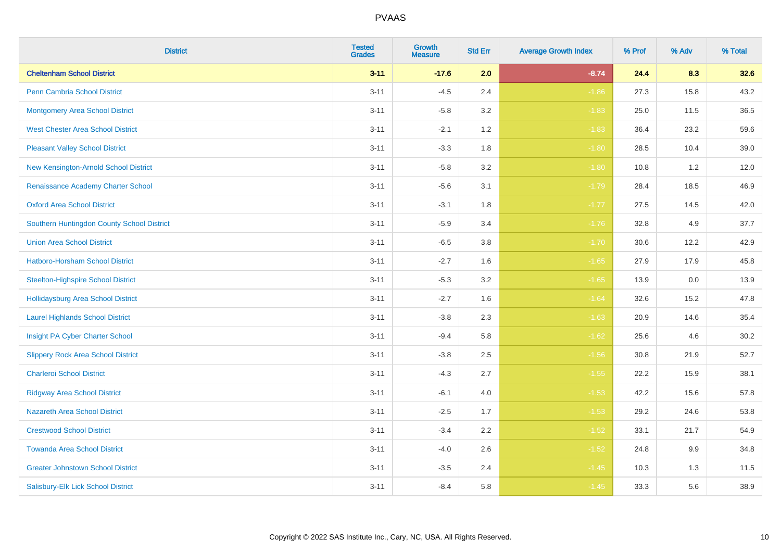| <b>District</b>                            | <b>Tested</b><br><b>Grades</b> | <b>Growth</b><br><b>Measure</b> | <b>Std Err</b> | <b>Average Growth Index</b> | % Prof | % Adv | % Total |
|--------------------------------------------|--------------------------------|---------------------------------|----------------|-----------------------------|--------|-------|---------|
| <b>Cheltenham School District</b>          | $3 - 11$                       | $-17.6$                         | 2.0            | $-8.74$                     | 24.4   | 8.3   | 32.6    |
| <b>Penn Cambria School District</b>        | $3 - 11$                       | $-4.5$                          | 2.4            | $-1.86$                     | 27.3   | 15.8  | 43.2    |
| <b>Montgomery Area School District</b>     | $3 - 11$                       | $-5.8$                          | 3.2            | $-1.83$                     | 25.0   | 11.5  | 36.5    |
| <b>West Chester Area School District</b>   | $3 - 11$                       | $-2.1$                          | 1.2            | $-1.83$                     | 36.4   | 23.2  | 59.6    |
| <b>Pleasant Valley School District</b>     | $3 - 11$                       | $-3.3$                          | 1.8            | $-1.80$                     | 28.5   | 10.4  | 39.0    |
| New Kensington-Arnold School District      | $3 - 11$                       | $-5.8$                          | 3.2            | $-1.80$                     | 10.8   | 1.2   | 12.0    |
| Renaissance Academy Charter School         | $3 - 11$                       | $-5.6$                          | 3.1            | $-1.79$                     | 28.4   | 18.5  | 46.9    |
| <b>Oxford Area School District</b>         | $3 - 11$                       | $-3.1$                          | 1.8            | $-1.77$                     | 27.5   | 14.5  | 42.0    |
| Southern Huntingdon County School District | $3 - 11$                       | $-5.9$                          | 3.4            | $-1.76$                     | 32.8   | 4.9   | 37.7    |
| <b>Union Area School District</b>          | $3 - 11$                       | $-6.5$                          | 3.8            | $-1.70$                     | 30.6   | 12.2  | 42.9    |
| Hatboro-Horsham School District            | $3 - 11$                       | $-2.7$                          | 1.6            | $-1.65$                     | 27.9   | 17.9  | 45.8    |
| <b>Steelton-Highspire School District</b>  | $3 - 11$                       | $-5.3$                          | 3.2            | $-1.65$                     | 13.9   | 0.0   | 13.9    |
| <b>Hollidaysburg Area School District</b>  | $3 - 11$                       | $-2.7$                          | 1.6            | $-1.64$                     | 32.6   | 15.2  | 47.8    |
| <b>Laurel Highlands School District</b>    | $3 - 11$                       | $-3.8$                          | 2.3            | $-1.63$                     | 20.9   | 14.6  | 35.4    |
| Insight PA Cyber Charter School            | $3 - 11$                       | $-9.4$                          | 5.8            | $-1.62$                     | 25.6   | 4.6   | 30.2    |
| <b>Slippery Rock Area School District</b>  | $3 - 11$                       | $-3.8$                          | 2.5            | $-1.56$                     | 30.8   | 21.9  | 52.7    |
| <b>Charleroi School District</b>           | $3 - 11$                       | $-4.3$                          | 2.7            | $-1.55$                     | 22.2   | 15.9  | 38.1    |
| <b>Ridgway Area School District</b>        | $3 - 11$                       | $-6.1$                          | 4.0            | $-1.53$                     | 42.2   | 15.6  | 57.8    |
| <b>Nazareth Area School District</b>       | $3 - 11$                       | $-2.5$                          | 1.7            | $-1.53$                     | 29.2   | 24.6  | 53.8    |
| <b>Crestwood School District</b>           | $3 - 11$                       | $-3.4$                          | 2.2            | $-1.52$                     | 33.1   | 21.7  | 54.9    |
| <b>Towanda Area School District</b>        | $3 - 11$                       | $-4.0$                          | 2.6            | $-1.52$                     | 24.8   | 9.9   | 34.8    |
| <b>Greater Johnstown School District</b>   | $3 - 11$                       | $-3.5$                          | 2.4            | $-1.45$                     | 10.3   | 1.3   | 11.5    |
| Salisbury-Elk Lick School District         | $3 - 11$                       | $-8.4$                          | 5.8            | $-1.45$                     | 33.3   | 5.6   | 38.9    |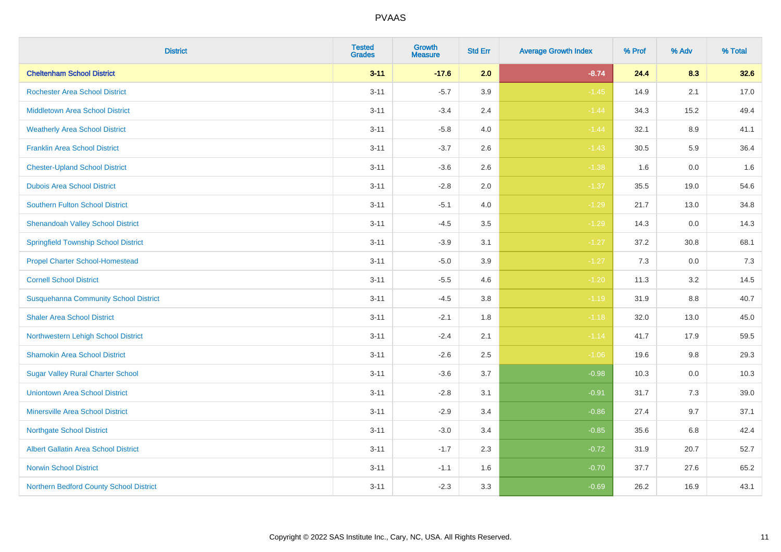| <b>District</b>                              | <b>Tested</b><br><b>Grades</b> | Growth<br><b>Measure</b> | <b>Std Err</b> | <b>Average Growth Index</b> | % Prof | % Adv   | % Total |
|----------------------------------------------|--------------------------------|--------------------------|----------------|-----------------------------|--------|---------|---------|
| <b>Cheltenham School District</b>            | $3 - 11$                       | $-17.6$                  | 2.0            | $-8.74$                     | 24.4   | 8.3     | 32.6    |
| <b>Rochester Area School District</b>        | $3 - 11$                       | $-5.7$                   | 3.9            | $-1.45$                     | 14.9   | 2.1     | 17.0    |
| <b>Middletown Area School District</b>       | $3 - 11$                       | $-3.4$                   | 2.4            | $-1.44$                     | 34.3   | 15.2    | 49.4    |
| <b>Weatherly Area School District</b>        | $3 - 11$                       | $-5.8$                   | 4.0            | $-1.44$                     | 32.1   | $8.9\,$ | 41.1    |
| <b>Franklin Area School District</b>         | $3 - 11$                       | $-3.7$                   | 2.6            | $-1.43$                     | 30.5   | 5.9     | 36.4    |
| <b>Chester-Upland School District</b>        | $3 - 11$                       | $-3.6$                   | 2.6            | $-1.38$                     | 1.6    | 0.0     | 1.6     |
| <b>Dubois Area School District</b>           | $3 - 11$                       | $-2.8$                   | 2.0            | $-1.37$                     | 35.5   | 19.0    | 54.6    |
| <b>Southern Fulton School District</b>       | $3 - 11$                       | $-5.1$                   | 4.0            | $-1.29$                     | 21.7   | 13.0    | 34.8    |
| <b>Shenandoah Valley School District</b>     | $3 - 11$                       | $-4.5$                   | 3.5            | $-1.29$                     | 14.3   | 0.0     | 14.3    |
| <b>Springfield Township School District</b>  | $3 - 11$                       | $-3.9$                   | 3.1            | $-1.27$                     | 37.2   | 30.8    | 68.1    |
| <b>Propel Charter School-Homestead</b>       | $3 - 11$                       | $-5.0$                   | 3.9            | $-1.27$                     | 7.3    | 0.0     | 7.3     |
| <b>Cornell School District</b>               | $3 - 11$                       | $-5.5$                   | 4.6            | $-1.20$                     | 11.3   | 3.2     | 14.5    |
| <b>Susquehanna Community School District</b> | $3 - 11$                       | $-4.5$                   | 3.8            | $-1.19$                     | 31.9   | $8.8\,$ | 40.7    |
| <b>Shaler Area School District</b>           | $3 - 11$                       | $-2.1$                   | 1.8            | $-1.18$                     | 32.0   | 13.0    | 45.0    |
| Northwestern Lehigh School District          | $3 - 11$                       | $-2.4$                   | 2.1            | $-1.14$                     | 41.7   | 17.9    | 59.5    |
| <b>Shamokin Area School District</b>         | $3 - 11$                       | $-2.6$                   | 2.5            | $-1.06$                     | 19.6   | 9.8     | 29.3    |
| <b>Sugar Valley Rural Charter School</b>     | $3 - 11$                       | $-3.6$                   | 3.7            | $-0.98$                     | 10.3   | 0.0     | 10.3    |
| <b>Uniontown Area School District</b>        | $3 - 11$                       | $-2.8$                   | 3.1            | $-0.91$                     | 31.7   | 7.3     | 39.0    |
| <b>Minersville Area School District</b>      | $3 - 11$                       | $-2.9$                   | 3.4            | $-0.86$                     | 27.4   | 9.7     | 37.1    |
| <b>Northgate School District</b>             | $3 - 11$                       | $-3.0$                   | 3.4            | $-0.85$                     | 35.6   | 6.8     | 42.4    |
| Albert Gallatin Area School District         | $3 - 11$                       | $-1.7$                   | 2.3            | $-0.72$                     | 31.9   | 20.7    | 52.7    |
| <b>Norwin School District</b>                | $3 - 11$                       | $-1.1$                   | 1.6            | $-0.70$                     | 37.7   | 27.6    | 65.2    |
| Northern Bedford County School District      | $3 - 11$                       | $-2.3$                   | 3.3            | $-0.69$                     | 26.2   | 16.9    | 43.1    |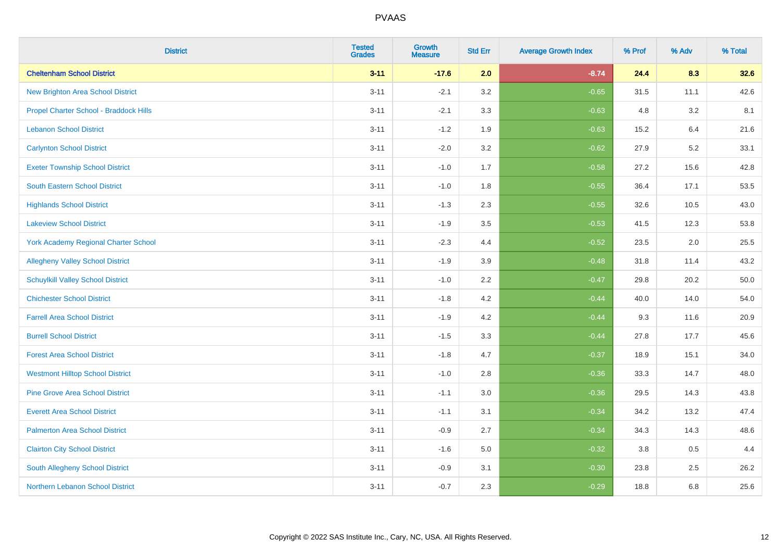| <b>District</b>                             | <b>Tested</b><br><b>Grades</b> | Growth<br><b>Measure</b> | <b>Std Err</b> | <b>Average Growth Index</b> | % Prof | % Adv | % Total |
|---------------------------------------------|--------------------------------|--------------------------|----------------|-----------------------------|--------|-------|---------|
| <b>Cheltenham School District</b>           | $3 - 11$                       | $-17.6$                  | 2.0            | $-8.74$                     | 24.4   | 8.3   | 32.6    |
| <b>New Brighton Area School District</b>    | $3 - 11$                       | $-2.1$                   | 3.2            | $-0.65$                     | 31.5   | 11.1  | 42.6    |
| Propel Charter School - Braddock Hills      | $3 - 11$                       | $-2.1$                   | 3.3            | $-0.63$                     | 4.8    | 3.2   | 8.1     |
| <b>Lebanon School District</b>              | $3 - 11$                       | $-1.2$                   | 1.9            | $-0.63$                     | 15.2   | 6.4   | 21.6    |
| <b>Carlynton School District</b>            | $3 - 11$                       | $-2.0$                   | 3.2            | $-0.62$                     | 27.9   | 5.2   | 33.1    |
| <b>Exeter Township School District</b>      | $3 - 11$                       | $-1.0$                   | 1.7            | $-0.58$                     | 27.2   | 15.6  | 42.8    |
| <b>South Eastern School District</b>        | $3 - 11$                       | $-1.0$                   | 1.8            | $-0.55$                     | 36.4   | 17.1  | 53.5    |
| <b>Highlands School District</b>            | $3 - 11$                       | $-1.3$                   | 2.3            | $-0.55$                     | 32.6   | 10.5  | 43.0    |
| <b>Lakeview School District</b>             | $3 - 11$                       | $-1.9$                   | 3.5            | $-0.53$                     | 41.5   | 12.3  | 53.8    |
| <b>York Academy Regional Charter School</b> | $3 - 11$                       | $-2.3$                   | 4.4            | $-0.52$                     | 23.5   | 2.0   | 25.5    |
| <b>Allegheny Valley School District</b>     | $3 - 11$                       | $-1.9$                   | 3.9            | $-0.48$                     | 31.8   | 11.4  | 43.2    |
| <b>Schuylkill Valley School District</b>    | $3 - 11$                       | $-1.0$                   | 2.2            | $-0.47$                     | 29.8   | 20.2  | 50.0    |
| <b>Chichester School District</b>           | $3 - 11$                       | $-1.8$                   | $4.2\,$        | $-0.44$                     | 40.0   | 14.0  | 54.0    |
| <b>Farrell Area School District</b>         | $3 - 11$                       | $-1.9$                   | 4.2            | $-0.44$                     | 9.3    | 11.6  | 20.9    |
| <b>Burrell School District</b>              | $3 - 11$                       | $-1.5$                   | 3.3            | $-0.44$                     | 27.8   | 17.7  | 45.6    |
| <b>Forest Area School District</b>          | $3 - 11$                       | $-1.8$                   | 4.7            | $-0.37$                     | 18.9   | 15.1  | 34.0    |
| <b>Westmont Hilltop School District</b>     | $3 - 11$                       | $-1.0$                   | 2.8            | $-0.36$                     | 33.3   | 14.7  | 48.0    |
| <b>Pine Grove Area School District</b>      | $3 - 11$                       | $-1.1$                   | 3.0            | $-0.36$                     | 29.5   | 14.3  | 43.8    |
| <b>Everett Area School District</b>         | $3 - 11$                       | $-1.1$                   | 3.1            | $-0.34$                     | 34.2   | 13.2  | 47.4    |
| <b>Palmerton Area School District</b>       | $3 - 11$                       | $-0.9$                   | 2.7            | $-0.34$                     | 34.3   | 14.3  | 48.6    |
| <b>Clairton City School District</b>        | $3 - 11$                       | $-1.6$                   | 5.0            | $-0.32$                     | 3.8    | 0.5   | 4.4     |
| South Allegheny School District             | $3 - 11$                       | $-0.9$                   | 3.1            | $-0.30$                     | 23.8   | 2.5   | 26.2    |
| Northern Lebanon School District            | $3 - 11$                       | $-0.7$                   | 2.3            | $-0.29$                     | 18.8   | 6.8   | 25.6    |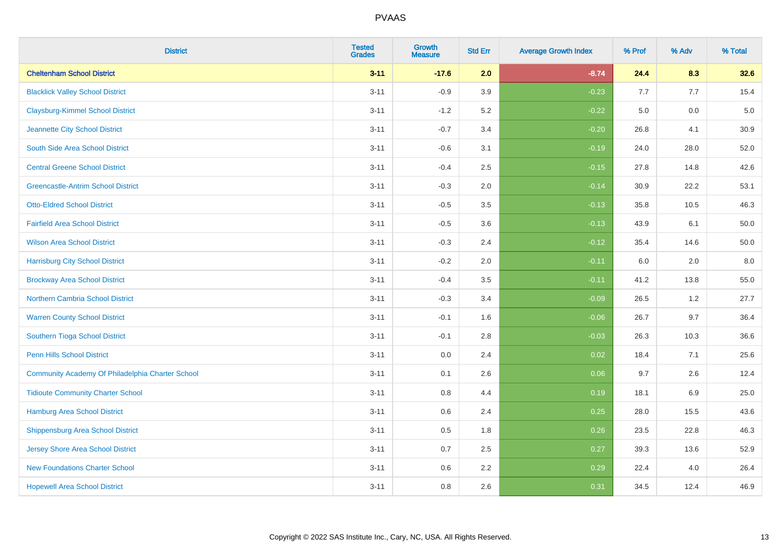| <b>District</b>                                  | <b>Tested</b><br><b>Grades</b> | Growth<br><b>Measure</b> | <b>Std Err</b> | <b>Average Growth Index</b> | % Prof | % Adv   | % Total |
|--------------------------------------------------|--------------------------------|--------------------------|----------------|-----------------------------|--------|---------|---------|
| <b>Cheltenham School District</b>                | $3 - 11$                       | $-17.6$                  | 2.0            | $-8.74$                     | 24.4   | 8.3     | 32.6    |
| <b>Blacklick Valley School District</b>          | $3 - 11$                       | $-0.9$                   | 3.9            | $-0.23$                     | 7.7    | 7.7     | 15.4    |
| <b>Claysburg-Kimmel School District</b>          | $3 - 11$                       | $-1.2$                   | 5.2            | $-0.22$                     | 5.0    | 0.0     | $5.0$   |
| Jeannette City School District                   | $3 - 11$                       | $-0.7$                   | 3.4            | $-0.20$                     | 26.8   | 4.1     | 30.9    |
| South Side Area School District                  | $3 - 11$                       | $-0.6$                   | 3.1            | $-0.19$                     | 24.0   | 28.0    | 52.0    |
| <b>Central Greene School District</b>            | $3 - 11$                       | $-0.4$                   | 2.5            | $-0.15$                     | 27.8   | 14.8    | 42.6    |
| <b>Greencastle-Antrim School District</b>        | $3 - 11$                       | $-0.3$                   | 2.0            | $-0.14$                     | 30.9   | 22.2    | 53.1    |
| <b>Otto-Eldred School District</b>               | $3 - 11$                       | $-0.5$                   | 3.5            | $-0.13$                     | 35.8   | 10.5    | 46.3    |
| <b>Fairfield Area School District</b>            | $3 - 11$                       | $-0.5$                   | 3.6            | $-0.13$                     | 43.9   | 6.1     | 50.0    |
| <b>Wilson Area School District</b>               | $3 - 11$                       | $-0.3$                   | 2.4            | $-0.12$                     | 35.4   | 14.6    | 50.0    |
| <b>Harrisburg City School District</b>           | $3 - 11$                       | $-0.2$                   | 2.0            | $-0.11$                     | 6.0    | 2.0     | 8.0     |
| <b>Brockway Area School District</b>             | $3 - 11$                       | $-0.4$                   | 3.5            | $-0.11$                     | 41.2   | 13.8    | 55.0    |
| Northern Cambria School District                 | $3 - 11$                       | $-0.3$                   | 3.4            | $-0.09$                     | 26.5   | $1.2\,$ | 27.7    |
| <b>Warren County School District</b>             | $3 - 11$                       | $-0.1$                   | 1.6            | $-0.06$                     | 26.7   | 9.7     | 36.4    |
| Southern Tioga School District                   | $3 - 11$                       | $-0.1$                   | 2.8            | $-0.03$                     | 26.3   | 10.3    | 36.6    |
| <b>Penn Hills School District</b>                | $3 - 11$                       | 0.0                      | 2.4            | 0.02                        | 18.4   | 7.1     | 25.6    |
| Community Academy Of Philadelphia Charter School | $3 - 11$                       | 0.1                      | 2.6            | 0.06                        | 9.7    | 2.6     | 12.4    |
| <b>Tidioute Community Charter School</b>         | $3 - 11$                       | 0.8                      | 4.4            | 0.19                        | 18.1   | 6.9     | 25.0    |
| Hamburg Area School District                     | $3 - 11$                       | 0.6                      | 2.4            | 0.25                        | 28.0   | 15.5    | 43.6    |
| <b>Shippensburg Area School District</b>         | $3 - 11$                       | 0.5                      | 1.8            | 0.26                        | 23.5   | 22.8    | 46.3    |
| Jersey Shore Area School District                | $3 - 11$                       | 0.7                      | 2.5            | 0.27                        | 39.3   | 13.6    | 52.9    |
| <b>New Foundations Charter School</b>            | $3 - 11$                       | 0.6                      | 2.2            | 0.29                        | 22.4   | 4.0     | 26.4    |
| <b>Hopewell Area School District</b>             | $3 - 11$                       | 0.8                      | 2.6            | 0.31                        | 34.5   | 12.4    | 46.9    |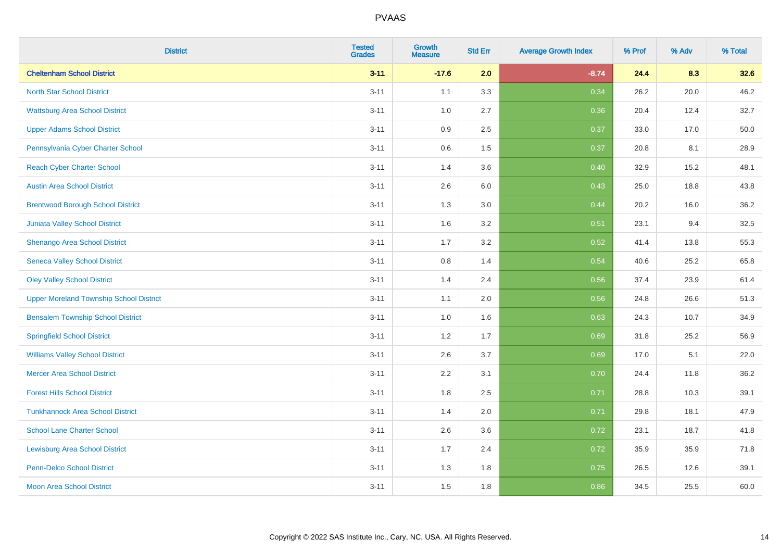| <b>District</b>                                | <b>Tested</b><br><b>Grades</b> | <b>Growth</b><br><b>Measure</b> | <b>Std Err</b> | <b>Average Growth Index</b> | % Prof | % Adv | % Total |
|------------------------------------------------|--------------------------------|---------------------------------|----------------|-----------------------------|--------|-------|---------|
| <b>Cheltenham School District</b>              | $3 - 11$                       | $-17.6$                         | 2.0            | $-8.74$                     | 24.4   | 8.3   | 32.6    |
| <b>North Star School District</b>              | $3 - 11$                       | 1.1                             | 3.3            | 0.34                        | 26.2   | 20.0  | 46.2    |
| <b>Wattsburg Area School District</b>          | $3 - 11$                       | 1.0                             | 2.7            | 0.36                        | 20.4   | 12.4  | 32.7    |
| <b>Upper Adams School District</b>             | $3 - 11$                       | 0.9                             | 2.5            | 0.37                        | 33.0   | 17.0  | 50.0    |
| Pennsylvania Cyber Charter School              | $3 - 11$                       | 0.6                             | 1.5            | 0.37                        | 20.8   | 8.1   | 28.9    |
| <b>Reach Cyber Charter School</b>              | $3 - 11$                       | 1.4                             | 3.6            | 0.40                        | 32.9   | 15.2  | 48.1    |
| <b>Austin Area School District</b>             | $3 - 11$                       | 2.6                             | 6.0            | 0.43                        | 25.0   | 18.8  | 43.8    |
| <b>Brentwood Borough School District</b>       | $3 - 11$                       | 1.3                             | 3.0            | 0.44                        | 20.2   | 16.0  | 36.2    |
| Juniata Valley School District                 | $3 - 11$                       | 1.6                             | 3.2            | 0.51                        | 23.1   | 9.4   | 32.5    |
| Shenango Area School District                  | $3 - 11$                       | 1.7                             | 3.2            | 0.52                        | 41.4   | 13.8  | 55.3    |
| <b>Seneca Valley School District</b>           | $3 - 11$                       | 0.8                             | 1.4            | 0.54                        | 40.6   | 25.2  | 65.8    |
| <b>Oley Valley School District</b>             | $3 - 11$                       | 1.4                             | 2.4            | 0.56                        | 37.4   | 23.9  | 61.4    |
| <b>Upper Moreland Township School District</b> | $3 - 11$                       | 1.1                             | 2.0            | 0.56                        | 24.8   | 26.6  | 51.3    |
| <b>Bensalem Township School District</b>       | $3 - 11$                       | 1.0                             | 1.6            | 0.63                        | 24.3   | 10.7  | 34.9    |
| <b>Springfield School District</b>             | $3 - 11$                       | 1.2                             | 1.7            | 0.69                        | 31.8   | 25.2  | 56.9    |
| <b>Williams Valley School District</b>         | $3 - 11$                       | 2.6                             | 3.7            | 0.69                        | 17.0   | 5.1   | 22.0    |
| <b>Mercer Area School District</b>             | $3 - 11$                       | $2.2\,$                         | 3.1            | 0.70                        | 24.4   | 11.8  | 36.2    |
| <b>Forest Hills School District</b>            | $3 - 11$                       | 1.8                             | 2.5            | 0.71                        | 28.8   | 10.3  | 39.1    |
| <b>Tunkhannock Area School District</b>        | $3 - 11$                       | 1.4                             | 2.0            | 0.71                        | 29.8   | 18.1  | 47.9    |
| <b>School Lane Charter School</b>              | $3 - 11$                       | 2.6                             | 3.6            | 0.72                        | 23.1   | 18.7  | 41.8    |
| <b>Lewisburg Area School District</b>          | $3 - 11$                       | 1.7                             | 2.4            | 0.72                        | 35.9   | 35.9  | 71.8    |
| <b>Penn-Delco School District</b>              | $3 - 11$                       | 1.3                             | 1.8            | 0.75                        | 26.5   | 12.6  | 39.1    |
| <b>Moon Area School District</b>               | $3 - 11$                       | 1.5                             | 1.8            | 0.86                        | 34.5   | 25.5  | 60.0    |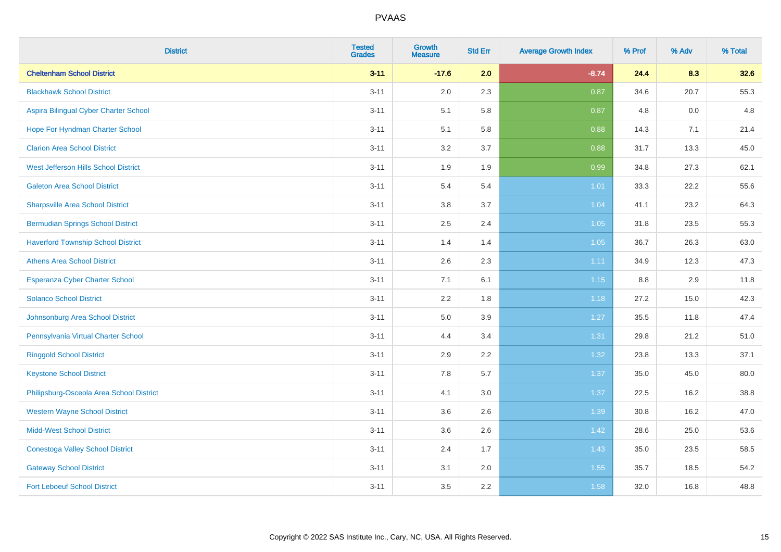| <b>District</b>                           | <b>Tested</b><br><b>Grades</b> | <b>Growth</b><br><b>Measure</b> | <b>Std Err</b> | <b>Average Growth Index</b> | % Prof | % Adv | % Total |
|-------------------------------------------|--------------------------------|---------------------------------|----------------|-----------------------------|--------|-------|---------|
| <b>Cheltenham School District</b>         | $3 - 11$                       | $-17.6$                         | 2.0            | $-8.74$                     | 24.4   | 8.3   | 32.6    |
| <b>Blackhawk School District</b>          | $3 - 11$                       | 2.0                             | 2.3            | 0.87                        | 34.6   | 20.7  | 55.3    |
| Aspira Bilingual Cyber Charter School     | $3 - 11$                       | 5.1                             | 5.8            | 0.87                        | 4.8    | 0.0   | 4.8     |
| Hope For Hyndman Charter School           | $3 - 11$                       | 5.1                             | 5.8            | 0.88                        | 14.3   | 7.1   | 21.4    |
| <b>Clarion Area School District</b>       | $3 - 11$                       | 3.2                             | 3.7            | 0.88                        | 31.7   | 13.3  | 45.0    |
| West Jefferson Hills School District      | $3 - 11$                       | 1.9                             | 1.9            | 0.99                        | 34.8   | 27.3  | 62.1    |
| <b>Galeton Area School District</b>       | $3 - 11$                       | 5.4                             | 5.4            | $1.01$                      | 33.3   | 22.2  | 55.6    |
| <b>Sharpsville Area School District</b>   | $3 - 11$                       | $3.8\,$                         | 3.7            | 1.04                        | 41.1   | 23.2  | 64.3    |
| <b>Bermudian Springs School District</b>  | $3 - 11$                       | 2.5                             | 2.4            | $1.05$                      | 31.8   | 23.5  | 55.3    |
| <b>Haverford Township School District</b> | $3 - 11$                       | 1.4                             | 1.4            | 1.05                        | 36.7   | 26.3  | 63.0    |
| <b>Athens Area School District</b>        | $3 - 11$                       | 2.6                             | 2.3            | 1.11                        | 34.9   | 12.3  | 47.3    |
| <b>Esperanza Cyber Charter School</b>     | $3 - 11$                       | 7.1                             | 6.1            | $1.15$                      | 8.8    | 2.9   | 11.8    |
| <b>Solanco School District</b>            | $3 - 11$                       | 2.2                             | 1.8            | 1.18                        | 27.2   | 15.0  | 42.3    |
| Johnsonburg Area School District          | $3 - 11$                       | 5.0                             | 3.9            | 1.27                        | 35.5   | 11.8  | 47.4    |
| Pennsylvania Virtual Charter School       | $3 - 11$                       | 4.4                             | 3.4            | 1.31                        | 29.8   | 21.2  | 51.0    |
| <b>Ringgold School District</b>           | $3 - 11$                       | 2.9                             | 2.2            | 1.32                        | 23.8   | 13.3  | 37.1    |
| <b>Keystone School District</b>           | $3 - 11$                       | 7.8                             | 5.7            | 1.37                        | 35.0   | 45.0  | 80.0    |
| Philipsburg-Osceola Area School District  | $3 - 11$                       | 4.1                             | 3.0            | 1.37                        | 22.5   | 16.2  | 38.8    |
| <b>Western Wayne School District</b>      | $3 - 11$                       | 3.6                             | 2.6            | 1.39                        | 30.8   | 16.2  | 47.0    |
| <b>Midd-West School District</b>          | $3 - 11$                       | 3.6                             | 2.6            | 1.42                        | 28.6   | 25.0  | 53.6    |
| <b>Conestoga Valley School District</b>   | $3 - 11$                       | 2.4                             | 1.7            | 1.43                        | 35.0   | 23.5  | 58.5    |
| <b>Gateway School District</b>            | $3 - 11$                       | 3.1                             | 2.0            | 1.55                        | 35.7   | 18.5  | 54.2    |
| <b>Fort Leboeuf School District</b>       | $3 - 11$                       | 3.5                             | 2.2            | 1.58                        | 32.0   | 16.8  | 48.8    |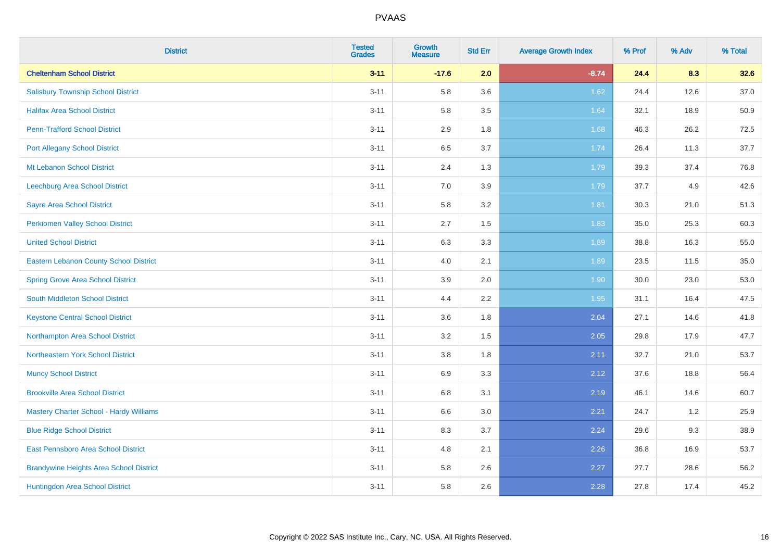| <b>District</b>                                | <b>Tested</b><br><b>Grades</b> | Growth<br><b>Measure</b> | <b>Std Err</b> | <b>Average Growth Index</b> | % Prof | % Adv | % Total |
|------------------------------------------------|--------------------------------|--------------------------|----------------|-----------------------------|--------|-------|---------|
| <b>Cheltenham School District</b>              | $3 - 11$                       | $-17.6$                  | 2.0            | $-8.74$                     | 24.4   | 8.3   | 32.6    |
| <b>Salisbury Township School District</b>      | $3 - 11$                       | 5.8                      | 3.6            | 1.62                        | 24.4   | 12.6  | 37.0    |
| <b>Halifax Area School District</b>            | $3 - 11$                       | 5.8                      | 3.5            | 1.64                        | 32.1   | 18.9  | 50.9    |
| <b>Penn-Trafford School District</b>           | $3 - 11$                       | 2.9                      | 1.8            | 1.68                        | 46.3   | 26.2  | 72.5    |
| <b>Port Allegany School District</b>           | $3 - 11$                       | 6.5                      | 3.7            | 1.74                        | 26.4   | 11.3  | 37.7    |
| Mt Lebanon School District                     | $3 - 11$                       | 2.4                      | 1.3            | 1.79                        | 39.3   | 37.4  | 76.8    |
| Leechburg Area School District                 | $3 - 11$                       | $7.0\,$                  | 3.9            | 1.79                        | 37.7   | 4.9   | 42.6    |
| <b>Sayre Area School District</b>              | $3 - 11$                       | 5.8                      | 3.2            | 1.81                        | 30.3   | 21.0  | 51.3    |
| <b>Perkiomen Valley School District</b>        | $3 - 11$                       | 2.7                      | 1.5            | 1.83                        | 35.0   | 25.3  | 60.3    |
| <b>United School District</b>                  | $3 - 11$                       | $6.3\,$                  | 3.3            | 1.89                        | 38.8   | 16.3  | 55.0    |
| <b>Eastern Lebanon County School District</b>  | $3 - 11$                       | 4.0                      | 2.1            | 1.89                        | 23.5   | 11.5  | 35.0    |
| <b>Spring Grove Area School District</b>       | $3 - 11$                       | 3.9                      | 2.0            | 1.90                        | 30.0   | 23.0  | 53.0    |
| South Middleton School District                | $3 - 11$                       | 4.4                      | 2.2            | 1.95                        | 31.1   | 16.4  | 47.5    |
| <b>Keystone Central School District</b>        | $3 - 11$                       | 3.6                      | 1.8            | 2.04                        | 27.1   | 14.6  | 41.8    |
| Northampton Area School District               | $3 - 11$                       | 3.2                      | 1.5            | 2.05                        | 29.8   | 17.9  | 47.7    |
| Northeastern York School District              | $3 - 11$                       | 3.8                      | 1.8            | 2.11                        | 32.7   | 21.0  | 53.7    |
| <b>Muncy School District</b>                   | $3 - 11$                       | 6.9                      | 3.3            | 2.12                        | 37.6   | 18.8  | 56.4    |
| <b>Brookville Area School District</b>         | $3 - 11$                       | 6.8                      | 3.1            | 2.19                        | 46.1   | 14.6  | 60.7    |
| <b>Mastery Charter School - Hardy Williams</b> | $3 - 11$                       | 6.6                      | 3.0            | 2.21                        | 24.7   | 1.2   | 25.9    |
| <b>Blue Ridge School District</b>              | $3 - 11$                       | 8.3                      | 3.7            | 2.24                        | 29.6   | 9.3   | 38.9    |
| East Pennsboro Area School District            | $3 - 11$                       | 4.8                      | 2.1            | 2.26                        | 36.8   | 16.9  | 53.7    |
| <b>Brandywine Heights Area School District</b> | $3 - 11$                       | 5.8                      | 2.6            | 2.27                        | 27.7   | 28.6  | 56.2    |
| Huntingdon Area School District                | $3 - 11$                       | 5.8                      | 2.6            | 2.28                        | 27.8   | 17.4  | 45.2    |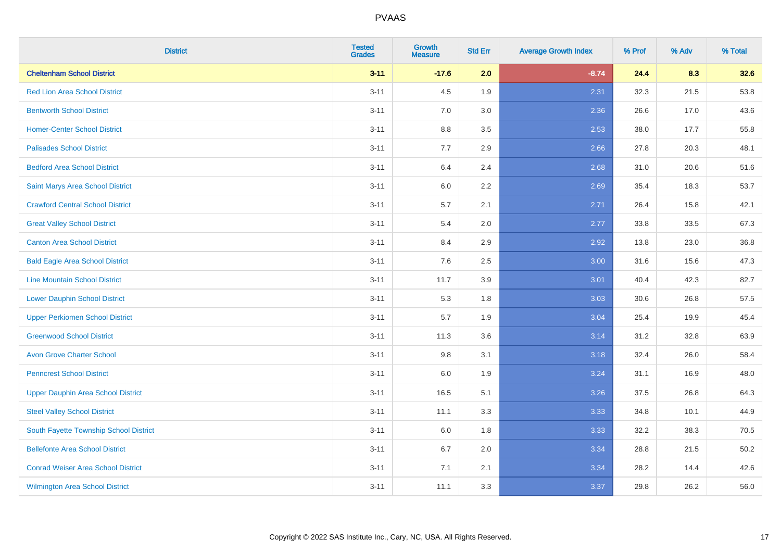| <b>District</b>                           | <b>Tested</b><br><b>Grades</b> | <b>Growth</b><br><b>Measure</b> | <b>Std Err</b> | <b>Average Growth Index</b> | % Prof | % Adv | % Total |
|-------------------------------------------|--------------------------------|---------------------------------|----------------|-----------------------------|--------|-------|---------|
| <b>Cheltenham School District</b>         | $3 - 11$                       | $-17.6$                         | 2.0            | $-8.74$                     | 24.4   | 8.3   | 32.6    |
| <b>Red Lion Area School District</b>      | $3 - 11$                       | 4.5                             | 1.9            | 2.31                        | 32.3   | 21.5  | 53.8    |
| <b>Bentworth School District</b>          | $3 - 11$                       | 7.0                             | 3.0            | 2.36                        | 26.6   | 17.0  | 43.6    |
| <b>Homer-Center School District</b>       | $3 - 11$                       | $8.8\,$                         | 3.5            | 2.53                        | 38.0   | 17.7  | 55.8    |
| <b>Palisades School District</b>          | $3 - 11$                       | 7.7                             | 2.9            | 2.66                        | 27.8   | 20.3  | 48.1    |
| <b>Bedford Area School District</b>       | $3 - 11$                       | 6.4                             | 2.4            | 2.68                        | 31.0   | 20.6  | 51.6    |
| Saint Marys Area School District          | $3 - 11$                       | $6.0\,$                         | 2.2            | 2.69                        | 35.4   | 18.3  | 53.7    |
| <b>Crawford Central School District</b>   | $3 - 11$                       | 5.7                             | 2.1            | 2.71                        | 26.4   | 15.8  | 42.1    |
| <b>Great Valley School District</b>       | $3 - 11$                       | 5.4                             | 2.0            | 2.77                        | 33.8   | 33.5  | 67.3    |
| <b>Canton Area School District</b>        | $3 - 11$                       | 8.4                             | 2.9            | 2.92                        | 13.8   | 23.0  | 36.8    |
| <b>Bald Eagle Area School District</b>    | $3 - 11$                       | 7.6                             | 2.5            | 3.00                        | 31.6   | 15.6  | 47.3    |
| <b>Line Mountain School District</b>      | $3 - 11$                       | 11.7                            | 3.9            | 3.01                        | 40.4   | 42.3  | 82.7    |
| <b>Lower Dauphin School District</b>      | $3 - 11$                       | 5.3                             | 1.8            | 3.03                        | 30.6   | 26.8  | 57.5    |
| <b>Upper Perkiomen School District</b>    | $3 - 11$                       | 5.7                             | 1.9            | 3.04                        | 25.4   | 19.9  | 45.4    |
| <b>Greenwood School District</b>          | $3 - 11$                       | 11.3                            | 3.6            | 3.14                        | 31.2   | 32.8  | 63.9    |
| <b>Avon Grove Charter School</b>          | $3 - 11$                       | 9.8                             | 3.1            | 3.18                        | 32.4   | 26.0  | 58.4    |
| <b>Penncrest School District</b>          | $3 - 11$                       | 6.0                             | 1.9            | 3.24                        | 31.1   | 16.9  | 48.0    |
| <b>Upper Dauphin Area School District</b> | $3 - 11$                       | 16.5                            | 5.1            | 3.26                        | 37.5   | 26.8  | 64.3    |
| <b>Steel Valley School District</b>       | $3 - 11$                       | 11.1                            | 3.3            | 3.33                        | 34.8   | 10.1  | 44.9    |
| South Fayette Township School District    | $3 - 11$                       | 6.0                             | 1.8            | 3.33                        | 32.2   | 38.3  | 70.5    |
| <b>Bellefonte Area School District</b>    | $3 - 11$                       | 6.7                             | 2.0            | 3.34                        | 28.8   | 21.5  | 50.2    |
| <b>Conrad Weiser Area School District</b> | $3 - 11$                       | 7.1                             | 2.1            | 3.34                        | 28.2   | 14.4  | 42.6    |
| <b>Wilmington Area School District</b>    | $3 - 11$                       | 11.1                            | 3.3            | 3.37                        | 29.8   | 26.2  | 56.0    |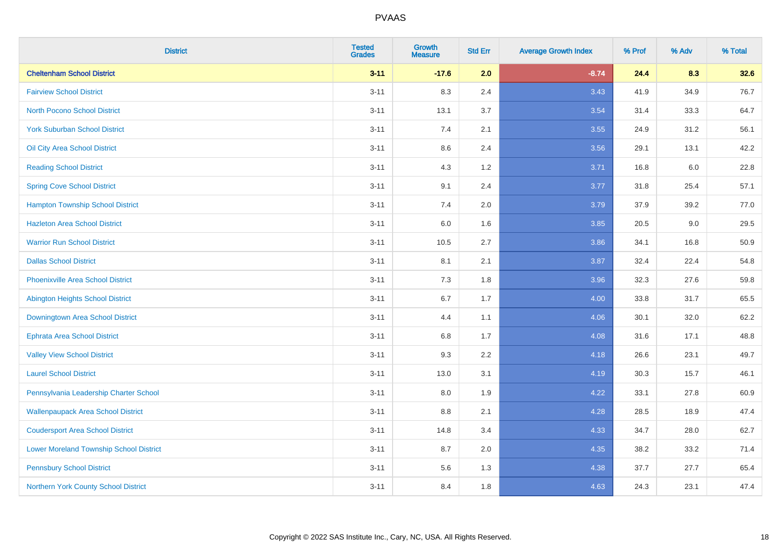| <b>District</b>                                | <b>Tested</b><br><b>Grades</b> | <b>Growth</b><br><b>Measure</b> | <b>Std Err</b> | <b>Average Growth Index</b> | % Prof | % Adv   | % Total |
|------------------------------------------------|--------------------------------|---------------------------------|----------------|-----------------------------|--------|---------|---------|
| <b>Cheltenham School District</b>              | $3 - 11$                       | $-17.6$                         | 2.0            | $-8.74$                     | 24.4   | 8.3     | 32.6    |
| <b>Fairview School District</b>                | $3 - 11$                       | 8.3                             | 2.4            | 3.43                        | 41.9   | 34.9    | 76.7    |
| <b>North Pocono School District</b>            | $3 - 11$                       | 13.1                            | 3.7            | 3.54                        | 31.4   | 33.3    | 64.7    |
| <b>York Suburban School District</b>           | $3 - 11$                       | 7.4                             | 2.1            | 3.55                        | 24.9   | 31.2    | 56.1    |
| Oil City Area School District                  | $3 - 11$                       | 8.6                             | 2.4            | 3.56                        | 29.1   | 13.1    | 42.2    |
| <b>Reading School District</b>                 | $3 - 11$                       | 4.3                             | 1.2            | 3.71                        | 16.8   | $6.0\,$ | 22.8    |
| <b>Spring Cove School District</b>             | $3 - 11$                       | 9.1                             | 2.4            | 3.77                        | 31.8   | 25.4    | 57.1    |
| <b>Hampton Township School District</b>        | $3 - 11$                       | 7.4                             | 2.0            | 3.79                        | 37.9   | 39.2    | 77.0    |
| <b>Hazleton Area School District</b>           | $3 - 11$                       | 6.0                             | 1.6            | 3.85                        | 20.5   | $9.0\,$ | 29.5    |
| <b>Warrior Run School District</b>             | $3 - 11$                       | 10.5                            | 2.7            | 3.86                        | 34.1   | 16.8    | 50.9    |
| <b>Dallas School District</b>                  | $3 - 11$                       | 8.1                             | 2.1            | 3.87                        | 32.4   | 22.4    | 54.8    |
| <b>Phoenixville Area School District</b>       | $3 - 11$                       | 7.3                             | 1.8            | 3.96                        | 32.3   | 27.6    | 59.8    |
| Abington Heights School District               | $3 - 11$                       | 6.7                             | 1.7            | 4.00                        | 33.8   | 31.7    | 65.5    |
| Downingtown Area School District               | $3 - 11$                       | 4.4                             | 1.1            | 4.06                        | 30.1   | 32.0    | 62.2    |
| <b>Ephrata Area School District</b>            | $3 - 11$                       | 6.8                             | 1.7            | 4.08                        | 31.6   | 17.1    | 48.8    |
| <b>Valley View School District</b>             | $3 - 11$                       | 9.3                             | 2.2            | 4.18                        | 26.6   | 23.1    | 49.7    |
| <b>Laurel School District</b>                  | $3 - 11$                       | 13.0                            | 3.1            | 4.19                        | 30.3   | 15.7    | 46.1    |
| Pennsylvania Leadership Charter School         | $3 - 11$                       | 8.0                             | 1.9            | 4.22                        | 33.1   | 27.8    | 60.9    |
| <b>Wallenpaupack Area School District</b>      | $3 - 11$                       | 8.8                             | 2.1            | 4.28                        | 28.5   | 18.9    | 47.4    |
| <b>Coudersport Area School District</b>        | $3 - 11$                       | 14.8                            | 3.4            | 4.33                        | 34.7   | 28.0    | 62.7    |
| <b>Lower Moreland Township School District</b> | $3 - 11$                       | 8.7                             | 2.0            | 4.35                        | 38.2   | 33.2    | 71.4    |
| <b>Pennsbury School District</b>               | $3 - 11$                       | 5.6                             | 1.3            | 4.38                        | 37.7   | 27.7    | 65.4    |
| Northern York County School District           | $3 - 11$                       | 8.4                             | 1.8            | 4.63                        | 24.3   | 23.1    | 47.4    |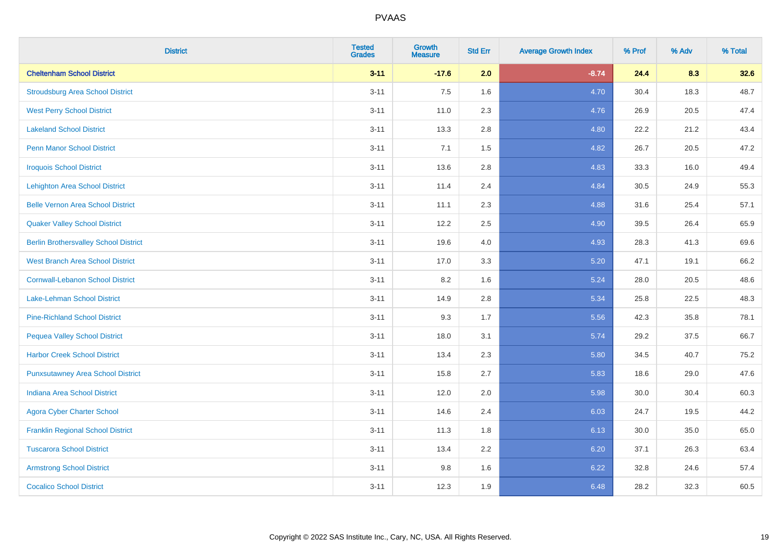| <b>District</b>                              | <b>Tested</b><br><b>Grades</b> | <b>Growth</b><br><b>Measure</b> | <b>Std Err</b> | <b>Average Growth Index</b> | % Prof | % Adv | % Total |
|----------------------------------------------|--------------------------------|---------------------------------|----------------|-----------------------------|--------|-------|---------|
| <b>Cheltenham School District</b>            | $3 - 11$                       | $-17.6$                         | 2.0            | $-8.74$                     | 24.4   | 8.3   | 32.6    |
| <b>Stroudsburg Area School District</b>      | $3 - 11$                       | 7.5                             | 1.6            | 4.70                        | 30.4   | 18.3  | 48.7    |
| <b>West Perry School District</b>            | $3 - 11$                       | 11.0                            | 2.3            | 4.76                        | 26.9   | 20.5  | 47.4    |
| <b>Lakeland School District</b>              | $3 - 11$                       | 13.3                            | 2.8            | 4.80                        | 22.2   | 21.2  | 43.4    |
| <b>Penn Manor School District</b>            | $3 - 11$                       | 7.1                             | 1.5            | 4.82                        | 26.7   | 20.5  | 47.2    |
| <b>Iroquois School District</b>              | $3 - 11$                       | 13.6                            | 2.8            | 4.83                        | 33.3   | 16.0  | 49.4    |
| <b>Lehighton Area School District</b>        | $3 - 11$                       | 11.4                            | 2.4            | 4.84                        | 30.5   | 24.9  | 55.3    |
| <b>Belle Vernon Area School District</b>     | $3 - 11$                       | 11.1                            | 2.3            | 4.88                        | 31.6   | 25.4  | 57.1    |
| <b>Quaker Valley School District</b>         | $3 - 11$                       | 12.2                            | 2.5            | 4.90                        | 39.5   | 26.4  | 65.9    |
| <b>Berlin Brothersvalley School District</b> | $3 - 11$                       | 19.6                            | 4.0            | 4.93                        | 28.3   | 41.3  | 69.6    |
| West Branch Area School District             | $3 - 11$                       | 17.0                            | 3.3            | 5.20                        | 47.1   | 19.1  | 66.2    |
| <b>Cornwall-Lebanon School District</b>      | $3 - 11$                       | 8.2                             | 1.6            | 5.24                        | 28.0   | 20.5  | 48.6    |
| Lake-Lehman School District                  | $3 - 11$                       | 14.9                            | 2.8            | 5.34                        | 25.8   | 22.5  | 48.3    |
| <b>Pine-Richland School District</b>         | $3 - 11$                       | 9.3                             | 1.7            | 5.56                        | 42.3   | 35.8  | 78.1    |
| <b>Pequea Valley School District</b>         | $3 - 11$                       | 18.0                            | 3.1            | 5.74                        | 29.2   | 37.5  | 66.7    |
| <b>Harbor Creek School District</b>          | $3 - 11$                       | 13.4                            | 2.3            | 5.80                        | 34.5   | 40.7  | 75.2    |
| <b>Punxsutawney Area School District</b>     | $3 - 11$                       | 15.8                            | 2.7            | 5.83                        | 18.6   | 29.0  | 47.6    |
| <b>Indiana Area School District</b>          | $3 - 11$                       | 12.0                            | 2.0            | 5.98                        | 30.0   | 30.4  | 60.3    |
| <b>Agora Cyber Charter School</b>            | $3 - 11$                       | 14.6                            | 2.4            | 6.03                        | 24.7   | 19.5  | 44.2    |
| <b>Franklin Regional School District</b>     | $3 - 11$                       | 11.3                            | 1.8            | 6.13                        | 30.0   | 35.0  | 65.0    |
| <b>Tuscarora School District</b>             | $3 - 11$                       | 13.4                            | 2.2            | 6.20                        | 37.1   | 26.3  | 63.4    |
| <b>Armstrong School District</b>             | $3 - 11$                       | 9.8                             | 1.6            | 6.22                        | 32.8   | 24.6  | 57.4    |
| <b>Cocalico School District</b>              | $3 - 11$                       | 12.3                            | 1.9            | 6.48                        | 28.2   | 32.3  | 60.5    |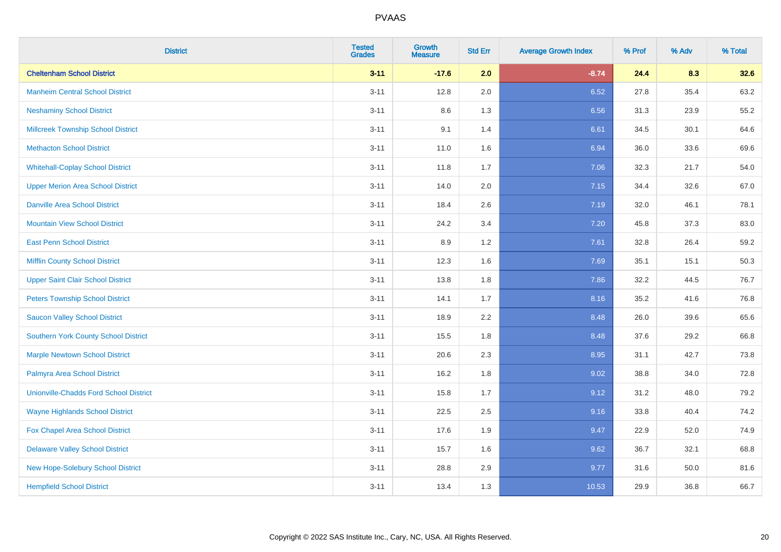| <b>District</b>                               | <b>Tested</b><br><b>Grades</b> | <b>Growth</b><br><b>Measure</b> | <b>Std Err</b> | <b>Average Growth Index</b> | % Prof | % Adv | % Total |
|-----------------------------------------------|--------------------------------|---------------------------------|----------------|-----------------------------|--------|-------|---------|
| <b>Cheltenham School District</b>             | $3 - 11$                       | $-17.6$                         | 2.0            | $-8.74$                     | 24.4   | 8.3   | 32.6    |
| <b>Manheim Central School District</b>        | $3 - 11$                       | 12.8                            | 2.0            | 6.52                        | 27.8   | 35.4  | 63.2    |
| <b>Neshaminy School District</b>              | $3 - 11$                       | 8.6                             | 1.3            | 6.56                        | 31.3   | 23.9  | 55.2    |
| <b>Millcreek Township School District</b>     | $3 - 11$                       | 9.1                             | 1.4            | 6.61                        | 34.5   | 30.1  | 64.6    |
| <b>Methacton School District</b>              | $3 - 11$                       | 11.0                            | 1.6            | 6.94                        | 36.0   | 33.6  | 69.6    |
| <b>Whitehall-Coplay School District</b>       | $3 - 11$                       | 11.8                            | 1.7            | 7.06                        | 32.3   | 21.7  | 54.0    |
| <b>Upper Merion Area School District</b>      | $3 - 11$                       | 14.0                            | 2.0            | 7.15                        | 34.4   | 32.6  | 67.0    |
| <b>Danville Area School District</b>          | $3 - 11$                       | 18.4                            | 2.6            | 7.19                        | 32.0   | 46.1  | 78.1    |
| <b>Mountain View School District</b>          | $3 - 11$                       | 24.2                            | 3.4            | 7.20                        | 45.8   | 37.3  | 83.0    |
| <b>East Penn School District</b>              | $3 - 11$                       | 8.9                             | $1.2\,$        | 7.61                        | 32.8   | 26.4  | 59.2    |
| <b>Mifflin County School District</b>         | $3 - 11$                       | 12.3                            | 1.6            | 7.69                        | 35.1   | 15.1  | 50.3    |
| <b>Upper Saint Clair School District</b>      | $3 - 11$                       | 13.8                            | 1.8            | 7.86                        | 32.2   | 44.5  | 76.7    |
| <b>Peters Township School District</b>        | $3 - 11$                       | 14.1                            | 1.7            | 8.16                        | 35.2   | 41.6  | 76.8    |
| <b>Saucon Valley School District</b>          | $3 - 11$                       | 18.9                            | 2.2            | 8.48                        | 26.0   | 39.6  | 65.6    |
| <b>Southern York County School District</b>   | $3 - 11$                       | 15.5                            | 1.8            | 8.48                        | 37.6   | 29.2  | 66.8    |
| <b>Marple Newtown School District</b>         | $3 - 11$                       | 20.6                            | 2.3            | 8.95                        | 31.1   | 42.7  | 73.8    |
| Palmyra Area School District                  | $3 - 11$                       | 16.2                            | 1.8            | 9.02                        | 38.8   | 34.0  | 72.8    |
| <b>Unionville-Chadds Ford School District</b> | $3 - 11$                       | 15.8                            | 1.7            | 9.12                        | 31.2   | 48.0  | 79.2    |
| <b>Wayne Highlands School District</b>        | $3 - 11$                       | 22.5                            | 2.5            | 9.16                        | 33.8   | 40.4  | 74.2    |
| Fox Chapel Area School District               | $3 - 11$                       | 17.6                            | 1.9            | 9.47                        | 22.9   | 52.0  | 74.9    |
| <b>Delaware Valley School District</b>        | $3 - 11$                       | 15.7                            | 1.6            | 9.62                        | 36.7   | 32.1  | 68.8    |
| New Hope-Solebury School District             | $3 - 11$                       | 28.8                            | 2.9            | 9.77                        | 31.6   | 50.0  | 81.6    |
| <b>Hempfield School District</b>              | $3 - 11$                       | 13.4                            | 1.3            | 10.53                       | 29.9   | 36.8  | 66.7    |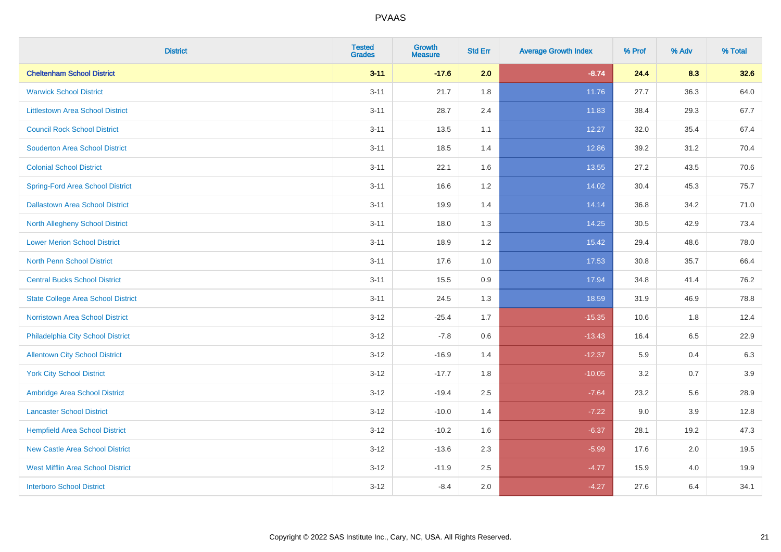| <b>District</b>                           | <b>Tested</b><br><b>Grades</b> | Growth<br><b>Measure</b> | <b>Std Err</b> | <b>Average Growth Index</b> | % Prof | % Adv   | % Total |
|-------------------------------------------|--------------------------------|--------------------------|----------------|-----------------------------|--------|---------|---------|
| <b>Cheltenham School District</b>         | $3 - 11$                       | $-17.6$                  | 2.0            | $-8.74$                     | 24.4   | 8.3     | 32.6    |
| <b>Warwick School District</b>            | $3 - 11$                       | 21.7                     | 1.8            | 11.76                       | 27.7   | 36.3    | 64.0    |
| <b>Littlestown Area School District</b>   | $3 - 11$                       | 28.7                     | 2.4            | 11.83                       | 38.4   | 29.3    | 67.7    |
| <b>Council Rock School District</b>       | $3 - 11$                       | 13.5                     | 1.1            | 12.27                       | 32.0   | 35.4    | 67.4    |
| <b>Souderton Area School District</b>     | $3 - 11$                       | 18.5                     | 1.4            | 12.86                       | 39.2   | 31.2    | 70.4    |
| <b>Colonial School District</b>           | $3 - 11$                       | 22.1                     | 1.6            | 13.55                       | 27.2   | 43.5    | 70.6    |
| <b>Spring-Ford Area School District</b>   | $3 - 11$                       | 16.6                     | 1.2            | 14.02                       | 30.4   | 45.3    | 75.7    |
| <b>Dallastown Area School District</b>    | $3 - 11$                       | 19.9                     | 1.4            | 14.14                       | 36.8   | 34.2    | 71.0    |
| <b>North Allegheny School District</b>    | $3 - 11$                       | 18.0                     | 1.3            | 14.25                       | 30.5   | 42.9    | 73.4    |
| <b>Lower Merion School District</b>       | $3 - 11$                       | 18.9                     | 1.2            | 15.42                       | 29.4   | 48.6    | 78.0    |
| North Penn School District                | $3 - 11$                       | 17.6                     | 1.0            | 17.53                       | 30.8   | 35.7    | 66.4    |
| <b>Central Bucks School District</b>      | $3 - 11$                       | 15.5                     | 0.9            | 17.94                       | 34.8   | 41.4    | 76.2    |
| <b>State College Area School District</b> | $3 - 11$                       | 24.5                     | 1.3            | 18.59                       | 31.9   | 46.9    | 78.8    |
| Norristown Area School District           | $3 - 12$                       | $-25.4$                  | 1.7            | $-15.35$                    | 10.6   | 1.8     | 12.4    |
| Philadelphia City School District         | $3 - 12$                       | $-7.8$                   | 0.6            | $-13.43$                    | 16.4   | 6.5     | 22.9    |
| <b>Allentown City School District</b>     | $3 - 12$                       | $-16.9$                  | 1.4            | $-12.37$                    | 5.9    | 0.4     | 6.3     |
| <b>York City School District</b>          | $3 - 12$                       | $-17.7$                  | 1.8            | $-10.05$                    | 3.2    | 0.7     | 3.9     |
| Ambridge Area School District             | $3 - 12$                       | $-19.4$                  | 2.5            | $-7.64$                     | 23.2   | 5.6     | 28.9    |
| <b>Lancaster School District</b>          | $3-12$                         | $-10.0$                  | 1.4            | $-7.22$                     | 9.0    | 3.9     | 12.8    |
| <b>Hempfield Area School District</b>     | $3 - 12$                       | $-10.2$                  | 1.6            | $-6.37$                     | 28.1   | 19.2    | 47.3    |
| <b>New Castle Area School District</b>    | $3 - 12$                       | $-13.6$                  | 2.3            | $-5.99$                     | 17.6   | $2.0\,$ | 19.5    |
| <b>West Mifflin Area School District</b>  | $3 - 12$                       | $-11.9$                  | 2.5            | $-4.77$                     | 15.9   | 4.0     | 19.9    |
| <b>Interboro School District</b>          | $3 - 12$                       | $-8.4$                   | 2.0            | $-4.27$                     | 27.6   | 6.4     | 34.1    |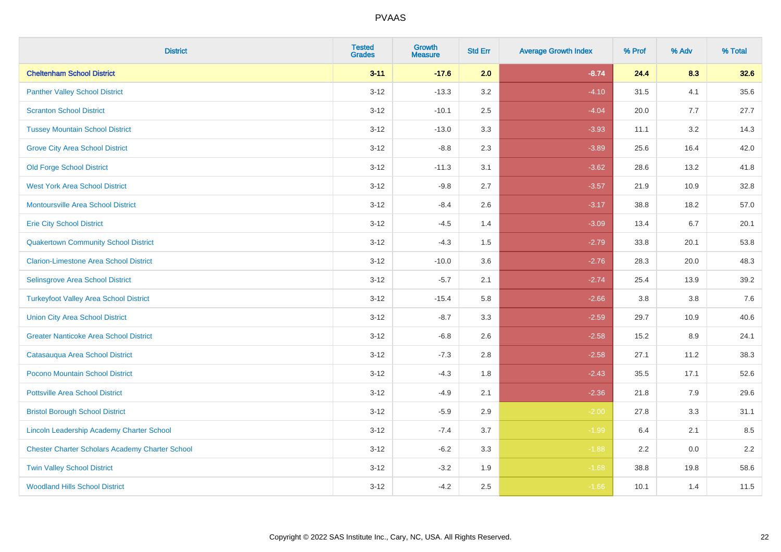| <b>District</b>                                        | <b>Tested</b><br><b>Grades</b> | Growth<br><b>Measure</b> | <b>Std Err</b> | <b>Average Growth Index</b> | % Prof | % Adv | % Total |
|--------------------------------------------------------|--------------------------------|--------------------------|----------------|-----------------------------|--------|-------|---------|
| <b>Cheltenham School District</b>                      | $3 - 11$                       | $-17.6$                  | 2.0            | $-8.74$                     | 24.4   | 8.3   | 32.6    |
| <b>Panther Valley School District</b>                  | $3 - 12$                       | $-13.3$                  | 3.2            | $-4.10$                     | 31.5   | 4.1   | 35.6    |
| <b>Scranton School District</b>                        | $3 - 12$                       | $-10.1$                  | 2.5            | $-4.04$                     | 20.0   | 7.7   | 27.7    |
| <b>Tussey Mountain School District</b>                 | $3 - 12$                       | $-13.0$                  | 3.3            | $-3.93$                     | 11.1   | 3.2   | 14.3    |
| <b>Grove City Area School District</b>                 | $3 - 12$                       | $-8.8$                   | 2.3            | $-3.89$                     | 25.6   | 16.4  | 42.0    |
| <b>Old Forge School District</b>                       | $3 - 12$                       | $-11.3$                  | 3.1            | $-3.62$                     | 28.6   | 13.2  | 41.8    |
| <b>West York Area School District</b>                  | $3-12$                         | $-9.8$                   | 2.7            | $-3.57$                     | 21.9   | 10.9  | 32.8    |
| <b>Montoursville Area School District</b>              | $3 - 12$                       | $-8.4$                   | 2.6            | $-3.17$                     | 38.8   | 18.2  | 57.0    |
| <b>Erie City School District</b>                       | $3 - 12$                       | $-4.5$                   | 1.4            | $-3.09$                     | 13.4   | 6.7   | 20.1    |
| <b>Quakertown Community School District</b>            | $3 - 12$                       | $-4.3$                   | 1.5            | $-2.79$                     | 33.8   | 20.1  | 53.8    |
| <b>Clarion-Limestone Area School District</b>          | $3-12$                         | $-10.0$                  | 3.6            | $-2.76$                     | 28.3   | 20.0  | 48.3    |
| Selinsgrove Area School District                       | $3 - 12$                       | $-5.7$                   | 2.1            | $-2.74$                     | 25.4   | 13.9  | 39.2    |
| <b>Turkeyfoot Valley Area School District</b>          | $3 - 12$                       | $-15.4$                  | 5.8            | $-2.66$                     | 3.8    | 3.8   | $7.6$   |
| <b>Union City Area School District</b>                 | $3 - 12$                       | $-8.7$                   | 3.3            | $-2.59$                     | 29.7   | 10.9  | 40.6    |
| <b>Greater Nanticoke Area School District</b>          | $3 - 12$                       | $-6.8$                   | 2.6            | $-2.58$                     | 15.2   | 8.9   | 24.1    |
| Catasauqua Area School District                        | $3-12$                         | $-7.3$                   | 2.8            | $-2.58$                     | 27.1   | 11.2  | 38.3    |
| Pocono Mountain School District                        | $3 - 12$                       | $-4.3$                   | 1.8            | $-2.43$                     | 35.5   | 17.1  | 52.6    |
| <b>Pottsville Area School District</b>                 | $3-12$                         | $-4.9$                   | 2.1            | $-2.36$                     | 21.8   | 7.9   | 29.6    |
| <b>Bristol Borough School District</b>                 | $3 - 12$                       | $-5.9$                   | 2.9            | $-2.00$                     | 27.8   | 3.3   | 31.1    |
| Lincoln Leadership Academy Charter School              | $3 - 12$                       | $-7.4$                   | 3.7            | $-1.99$                     | 6.4    | 2.1   | 8.5     |
| <b>Chester Charter Scholars Academy Charter School</b> | $3 - 12$                       | $-6.2$                   | 3.3            | $-1.88$                     | 2.2    | 0.0   | 2.2     |
| <b>Twin Valley School District</b>                     | $3 - 12$                       | $-3.2$                   | 1.9            | $-1.68$                     | 38.8   | 19.8  | 58.6    |
| <b>Woodland Hills School District</b>                  | $3 - 12$                       | $-4.2$                   | 2.5            | $-1.66$                     | 10.1   | 1.4   | 11.5    |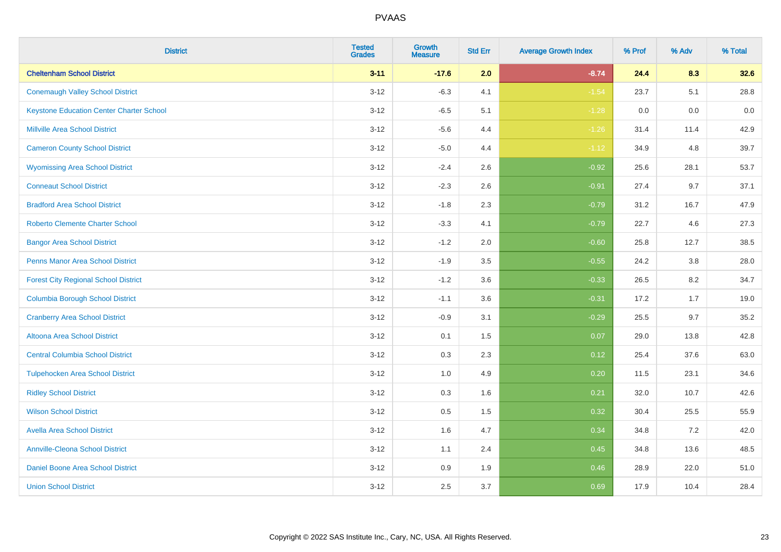| <b>District</b>                                 | <b>Tested</b><br><b>Grades</b> | <b>Growth</b><br><b>Measure</b> | <b>Std Err</b> | <b>Average Growth Index</b> | % Prof | % Adv | % Total |
|-------------------------------------------------|--------------------------------|---------------------------------|----------------|-----------------------------|--------|-------|---------|
| <b>Cheltenham School District</b>               | $3 - 11$                       | $-17.6$                         | 2.0            | $-8.74$                     | 24.4   | 8.3   | 32.6    |
| <b>Conemaugh Valley School District</b>         | $3 - 12$                       | $-6.3$                          | 4.1            | $-1.54$                     | 23.7   | 5.1   | 28.8    |
| <b>Keystone Education Center Charter School</b> | $3 - 12$                       | $-6.5$                          | 5.1            | $-1.28$                     | 0.0    | 0.0   | 0.0     |
| <b>Millville Area School District</b>           | $3 - 12$                       | $-5.6$                          | 4.4            | $-1.26$                     | 31.4   | 11.4  | 42.9    |
| <b>Cameron County School District</b>           | $3-12$                         | $-5.0$                          | 4.4            | $-1.12$                     | 34.9   | 4.8   | 39.7    |
| <b>Wyomissing Area School District</b>          | $3 - 12$                       | $-2.4$                          | 2.6            | $-0.92$                     | 25.6   | 28.1  | 53.7    |
| <b>Conneaut School District</b>                 | $3 - 12$                       | $-2.3$                          | 2.6            | $-0.91$                     | 27.4   | 9.7   | 37.1    |
| <b>Bradford Area School District</b>            | $3 - 12$                       | $-1.8$                          | 2.3            | $-0.79$                     | 31.2   | 16.7  | 47.9    |
| <b>Roberto Clemente Charter School</b>          | $3 - 12$                       | $-3.3$                          | 4.1            | $-0.79$                     | 22.7   | 4.6   | 27.3    |
| <b>Bangor Area School District</b>              | $3 - 12$                       | $-1.2$                          | 2.0            | $-0.60$                     | 25.8   | 12.7  | 38.5    |
| <b>Penns Manor Area School District</b>         | $3 - 12$                       | $-1.9$                          | 3.5            | $-0.55$                     | 24.2   | 3.8   | 28.0    |
| <b>Forest City Regional School District</b>     | $3 - 12$                       | $-1.2$                          | 3.6            | $-0.33$                     | 26.5   | 8.2   | 34.7    |
| <b>Columbia Borough School District</b>         | $3 - 12$                       | $-1.1$                          | 3.6            | $-0.31$                     | 17.2   | 1.7   | 19.0    |
| <b>Cranberry Area School District</b>           | $3 - 12$                       | $-0.9$                          | 3.1            | $-0.29$                     | 25.5   | 9.7   | 35.2    |
| Altoona Area School District                    | $3 - 12$                       | 0.1                             | 1.5            | 0.07                        | 29.0   | 13.8  | 42.8    |
| <b>Central Columbia School District</b>         | $3 - 12$                       | 0.3                             | 2.3            | 0.12                        | 25.4   | 37.6  | 63.0    |
| <b>Tulpehocken Area School District</b>         | $3 - 12$                       | 1.0                             | 4.9            | 0.20                        | 11.5   | 23.1  | 34.6    |
| <b>Ridley School District</b>                   | $3 - 12$                       | 0.3                             | 1.6            | 0.21                        | 32.0   | 10.7  | 42.6    |
| <b>Wilson School District</b>                   | $3 - 12$                       | $0.5\,$                         | 1.5            | 0.32                        | 30.4   | 25.5  | 55.9    |
| <b>Avella Area School District</b>              | $3-12$                         | 1.6                             | 4.7            | 0.34                        | 34.8   | 7.2   | 42.0    |
| <b>Annville-Cleona School District</b>          | $3 - 12$                       | 1.1                             | 2.4            | 0.45                        | 34.8   | 13.6  | 48.5    |
| Daniel Boone Area School District               | $3 - 12$                       | $0.9\,$                         | 1.9            | 0.46                        | 28.9   | 22.0  | 51.0    |
| <b>Union School District</b>                    | $3-12$                         | 2.5                             | 3.7            | 0.69                        | 17.9   | 10.4  | 28.4    |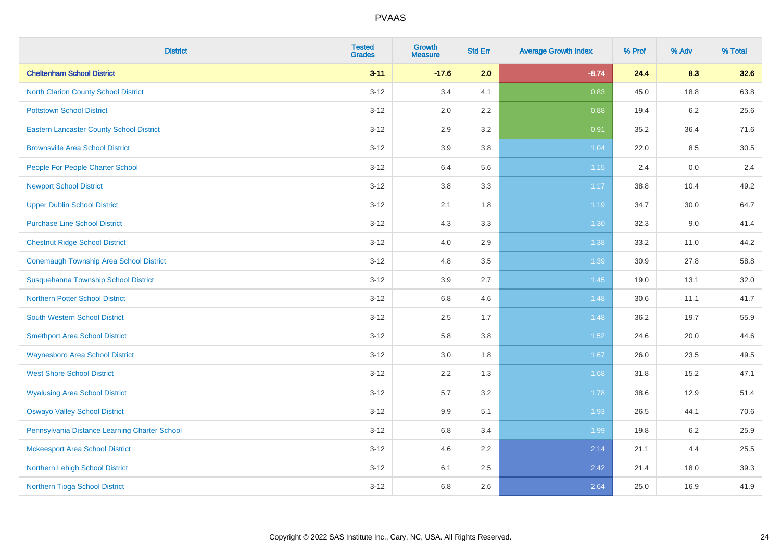| <b>District</b>                                 | <b>Tested</b><br><b>Grades</b> | <b>Growth</b><br><b>Measure</b> | <b>Std Err</b> | <b>Average Growth Index</b> | % Prof | % Adv | % Total |
|-------------------------------------------------|--------------------------------|---------------------------------|----------------|-----------------------------|--------|-------|---------|
| <b>Cheltenham School District</b>               | $3 - 11$                       | $-17.6$                         | 2.0            | $-8.74$                     | 24.4   | 8.3   | 32.6    |
| <b>North Clarion County School District</b>     | $3 - 12$                       | 3.4                             | 4.1            | 0.83                        | 45.0   | 18.8  | 63.8    |
| <b>Pottstown School District</b>                | $3 - 12$                       | 2.0                             | 2.2            | 0.88                        | 19.4   | 6.2   | 25.6    |
| <b>Eastern Lancaster County School District</b> | $3 - 12$                       | 2.9                             | 3.2            | 0.91                        | 35.2   | 36.4  | 71.6    |
| <b>Brownsville Area School District</b>         | $3 - 12$                       | 3.9                             | 3.8            | 1.04                        | 22.0   | 8.5   | 30.5    |
| People For People Charter School                | $3 - 12$                       | 6.4                             | 5.6            | 1.15                        | 2.4    | 0.0   | 2.4     |
| <b>Newport School District</b>                  | $3 - 12$                       | 3.8                             | 3.3            | 1.17                        | 38.8   | 10.4  | 49.2    |
| <b>Upper Dublin School District</b>             | $3 - 12$                       | 2.1                             | 1.8            | 1.19                        | 34.7   | 30.0  | 64.7    |
| <b>Purchase Line School District</b>            | $3 - 12$                       | 4.3                             | 3.3            | 1.30                        | 32.3   | 9.0   | 41.4    |
| <b>Chestnut Ridge School District</b>           | $3 - 12$                       | 4.0                             | 2.9            | 1.38                        | 33.2   | 11.0  | 44.2    |
| <b>Conemaugh Township Area School District</b>  | $3 - 12$                       | 4.8                             | 3.5            | 1.39                        | 30.9   | 27.8  | 58.8    |
| <b>Susquehanna Township School District</b>     | $3 - 12$                       | 3.9                             | 2.7            | 1.45                        | 19.0   | 13.1  | 32.0    |
| Northern Potter School District                 | $3 - 12$                       | $6.8\,$                         | 4.6            | 1.48                        | 30.6   | 11.1  | 41.7    |
| <b>South Western School District</b>            | $3 - 12$                       | 2.5                             | 1.7            | 1.48                        | 36.2   | 19.7  | 55.9    |
| <b>Smethport Area School District</b>           | $3 - 12$                       | 5.8                             | 3.8            | 1.52                        | 24.6   | 20.0  | 44.6    |
| <b>Waynesboro Area School District</b>          | $3 - 12$                       | $3.0\,$                         | 1.8            | 1.67                        | 26.0   | 23.5  | 49.5    |
| <b>West Shore School District</b>               | $3 - 12$                       | $2.2\,$                         | 1.3            | 1.68                        | 31.8   | 15.2  | 47.1    |
| <b>Wyalusing Area School District</b>           | $3 - 12$                       | 5.7                             | 3.2            | 1.78                        | 38.6   | 12.9  | 51.4    |
| <b>Oswayo Valley School District</b>            | $3 - 12$                       | 9.9                             | 5.1            | 1.93                        | 26.5   | 44.1  | 70.6    |
| Pennsylvania Distance Learning Charter School   | $3 - 12$                       | 6.8                             | 3.4            | 1.99                        | 19.8   | 6.2   | 25.9    |
| <b>Mckeesport Area School District</b>          | $3 - 12$                       | 4.6                             | 2.2            | 2.14                        | 21.1   | 4.4   | 25.5    |
| Northern Lehigh School District                 | $3 - 12$                       | 6.1                             | 2.5            | 2.42                        | 21.4   | 18.0  | 39.3    |
| Northern Tioga School District                  | $3 - 12$                       | 6.8                             | 2.6            | 2.64                        | 25.0   | 16.9  | 41.9    |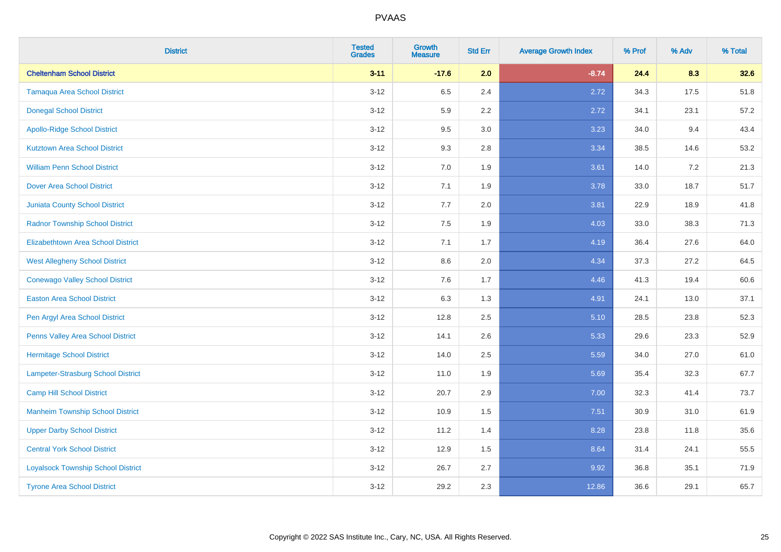| <b>District</b>                           | <b>Tested</b><br><b>Grades</b> | <b>Growth</b><br><b>Measure</b> | <b>Std Err</b> | <b>Average Growth Index</b> | % Prof | % Adv   | % Total |
|-------------------------------------------|--------------------------------|---------------------------------|----------------|-----------------------------|--------|---------|---------|
| <b>Cheltenham School District</b>         | $3 - 11$                       | $-17.6$                         | 2.0            | $-8.74$                     | 24.4   | 8.3     | 32.6    |
| <b>Tamaqua Area School District</b>       | $3 - 12$                       | 6.5                             | 2.4            | 2.72                        | 34.3   | 17.5    | 51.8    |
| <b>Donegal School District</b>            | $3-12$                         | 5.9                             | 2.2            | 2.72                        | 34.1   | 23.1    | 57.2    |
| <b>Apollo-Ridge School District</b>       | $3 - 12$                       | 9.5                             | $3.0\,$        | 3.23                        | 34.0   | 9.4     | 43.4    |
| <b>Kutztown Area School District</b>      | $3 - 12$                       | 9.3                             | 2.8            | 3.34                        | 38.5   | 14.6    | 53.2    |
| <b>William Penn School District</b>       | $3-12$                         | 7.0                             | 1.9            | 3.61                        | 14.0   | $7.2\,$ | 21.3    |
| <b>Dover Area School District</b>         | $3 - 12$                       | 7.1                             | 1.9            | 3.78                        | 33.0   | 18.7    | 51.7    |
| <b>Juniata County School District</b>     | $3 - 12$                       | 7.7                             | 2.0            | 3.81                        | 22.9   | 18.9    | 41.8    |
| <b>Radnor Township School District</b>    | $3-12$                         | 7.5                             | 1.9            | 4.03                        | 33.0   | 38.3    | 71.3    |
| <b>Elizabethtown Area School District</b> | $3 - 12$                       | 7.1                             | 1.7            | 4.19                        | 36.4   | 27.6    | 64.0    |
| <b>West Allegheny School District</b>     | $3 - 12$                       | 8.6                             | 2.0            | 4.34                        | 37.3   | 27.2    | 64.5    |
| <b>Conewago Valley School District</b>    | $3 - 12$                       | 7.6                             | 1.7            | 4.46                        | 41.3   | 19.4    | 60.6    |
| <b>Easton Area School District</b>        | $3 - 12$                       | 6.3                             | 1.3            | 4.91                        | 24.1   | 13.0    | 37.1    |
| Pen Argyl Area School District            | $3-12$                         | 12.8                            | 2.5            | 5.10                        | 28.5   | 23.8    | 52.3    |
| Penns Valley Area School District         | $3-12$                         | 14.1                            | 2.6            | 5.33                        | 29.6   | 23.3    | 52.9    |
| <b>Hermitage School District</b>          | $3 - 12$                       | 14.0                            | 2.5            | 5.59                        | 34.0   | 27.0    | 61.0    |
| Lampeter-Strasburg School District        | $3-12$                         | 11.0                            | 1.9            | 5.69                        | 35.4   | 32.3    | 67.7    |
| <b>Camp Hill School District</b>          | $3-12$                         | 20.7                            | 2.9            | 7.00                        | 32.3   | 41.4    | 73.7    |
| <b>Manheim Township School District</b>   | $3 - 12$                       | 10.9                            | 1.5            | 7.51                        | 30.9   | 31.0    | 61.9    |
| <b>Upper Darby School District</b>        | $3-12$                         | 11.2                            | 1.4            | 8.28                        | 23.8   | 11.8    | 35.6    |
| <b>Central York School District</b>       | $3-12$                         | 12.9                            | 1.5            | 8.64                        | 31.4   | 24.1    | 55.5    |
| <b>Loyalsock Township School District</b> | $3 - 12$                       | 26.7                            | 2.7            | 9.92                        | 36.8   | 35.1    | 71.9    |
| <b>Tyrone Area School District</b>        | $3-12$                         | 29.2                            | 2.3            | 12.86                       | 36.6   | 29.1    | 65.7    |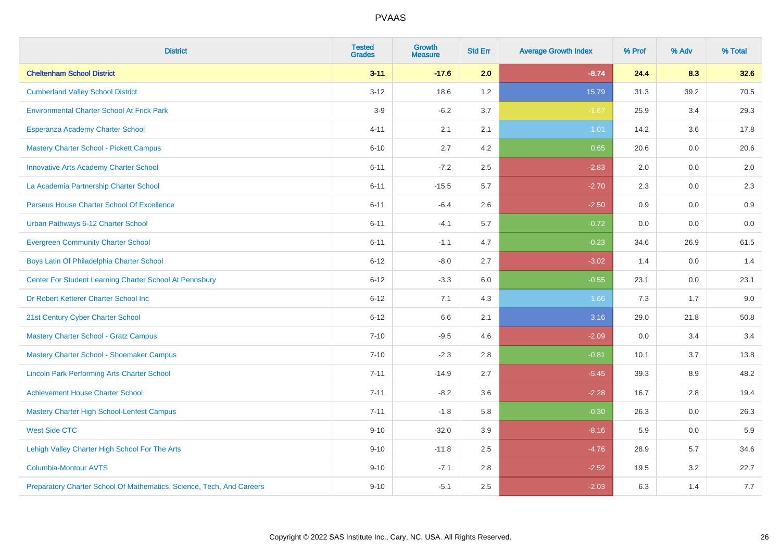| <b>District</b>                                                       | <b>Tested</b><br><b>Grades</b> | <b>Growth</b><br><b>Measure</b> | <b>Std Err</b> | <b>Average Growth Index</b> | % Prof | % Adv | % Total |
|-----------------------------------------------------------------------|--------------------------------|---------------------------------|----------------|-----------------------------|--------|-------|---------|
| <b>Cheltenham School District</b>                                     | $3 - 11$                       | $-17.6$                         | 2.0            | $-8.74$                     | 24.4   | 8.3   | 32.6    |
| <b>Cumberland Valley School District</b>                              | $3 - 12$                       | 18.6                            | 1.2            | 15.79                       | 31.3   | 39.2  | 70.5    |
| <b>Environmental Charter School At Frick Park</b>                     | $3-9$                          | $-6.2$                          | 3.7            | $-1.67$                     | 25.9   | 3.4   | 29.3    |
| Esperanza Academy Charter School                                      | $4 - 11$                       | 2.1                             | 2.1            | 1.01                        | 14.2   | 3.6   | 17.8    |
| <b>Mastery Charter School - Pickett Campus</b>                        | $6 - 10$                       | 2.7                             | 4.2            | 0.65                        | 20.6   | 0.0   | 20.6    |
| <b>Innovative Arts Academy Charter School</b>                         | $6 - 11$                       | $-7.2$                          | 2.5            | $-2.83$                     | 2.0    | 0.0   | 2.0     |
| La Academia Partnership Charter School                                | $6 - 11$                       | $-15.5$                         | 5.7            | $-2.70$                     | 2.3    | 0.0   | $2.3\,$ |
| Perseus House Charter School Of Excellence                            | $6 - 11$                       | $-6.4$                          | 2.6            | $-2.50$                     | 0.9    | 0.0   | 0.9     |
| Urban Pathways 6-12 Charter School                                    | $6 - 11$                       | $-4.1$                          | 5.7            | $-0.72$                     | 0.0    | 0.0   | 0.0     |
| <b>Evergreen Community Charter School</b>                             | $6 - 11$                       | $-1.1$                          | 4.7            | $-0.23$                     | 34.6   | 26.9  | 61.5    |
| Boys Latin Of Philadelphia Charter School                             | $6 - 12$                       | $-8.0$                          | 2.7            | $-3.02$                     | 1.4    | 0.0   | 1.4     |
| Center For Student Learning Charter School At Pennsbury               | $6 - 12$                       | $-3.3$                          | 6.0            | $-0.55$                     | 23.1   | 0.0   | 23.1    |
| Dr Robert Ketterer Charter School Inc                                 | $6 - 12$                       | 7.1                             | 4.3            | 1.66                        | 7.3    | 1.7   | 9.0     |
| 21st Century Cyber Charter School                                     | $6 - 12$                       | 6.6                             | 2.1            | 3.16                        | 29.0   | 21.8  | 50.8    |
| <b>Mastery Charter School - Gratz Campus</b>                          | $7 - 10$                       | $-9.5$                          | 4.6            | $-2.09$                     | 0.0    | 3.4   | 3.4     |
| Mastery Charter School - Shoemaker Campus                             | $7 - 10$                       | $-2.3$                          | 2.8            | $-0.81$                     | 10.1   | 3.7   | 13.8    |
| <b>Lincoln Park Performing Arts Charter School</b>                    | $7 - 11$                       | $-14.9$                         | 2.7            | $-5.45$                     | 39.3   | 8.9   | 48.2    |
| <b>Achievement House Charter School</b>                               | $7 - 11$                       | $-8.2$                          | 3.6            | $-2.28$                     | 16.7   | 2.8   | 19.4    |
| <b>Mastery Charter High School-Lenfest Campus</b>                     | $7 - 11$                       | $-1.8$                          | 5.8            | $-0.30$                     | 26.3   | 0.0   | 26.3    |
| <b>West Side CTC</b>                                                  | $9 - 10$                       | $-32.0$                         | 3.9            | $-8.16$                     | 5.9    | 0.0   | 5.9     |
| Lehigh Valley Charter High School For The Arts                        | $9 - 10$                       | $-11.8$                         | 2.5            | $-4.76$                     | 28.9   | 5.7   | 34.6    |
| <b>Columbia-Montour AVTS</b>                                          | $9 - 10$                       | $-7.1$                          | 2.8            | $-2.52$                     | 19.5   | 3.2   | 22.7    |
| Preparatory Charter School Of Mathematics, Science, Tech, And Careers | $9 - 10$                       | $-5.1$                          | 2.5            | $-2.03$                     | 6.3    | 1.4   | 7.7     |